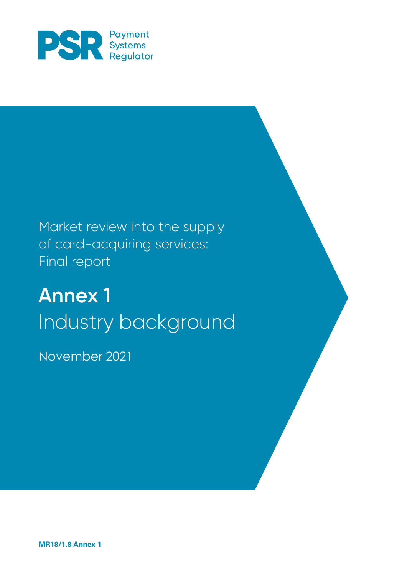

## Market review into the supply of card-acquiring services: Final report

# **Annex 1** Industry background

November 2021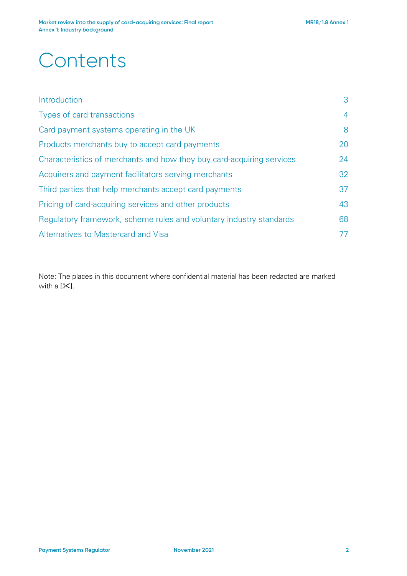## **Contents**

| Introduction                                                          | 3              |  |
|-----------------------------------------------------------------------|----------------|--|
| Types of card transactions                                            | $\overline{4}$ |  |
| Card payment systems operating in the UK                              | 8              |  |
| Products merchants buy to accept card payments                        | 20             |  |
| Characteristics of merchants and how they buy card-acquiring services | 24             |  |
| Acquirers and payment facilitators serving merchants                  | 32             |  |
| Third parties that help merchants accept card payments                |                |  |
| Pricing of card-acquiring services and other products                 | 43             |  |
| Regulatory framework, scheme rules and voluntary industry standards   | 68             |  |
| Alternatives to Mastercard and Visa                                   | 77             |  |

Note: The places in this document where confidential material has been redacted are marked with a  $[\n\mathcal{K}]$ .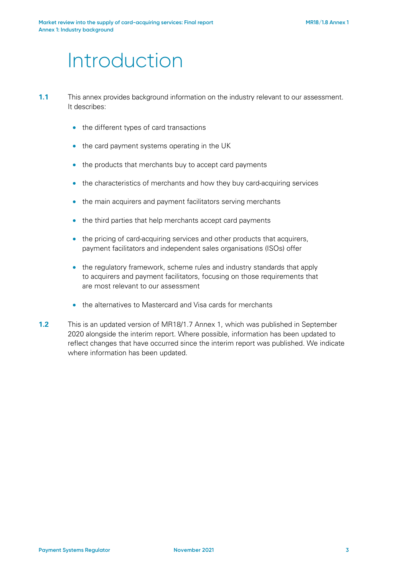## Introduction

- **1.1** This annex provides background information on the industry relevant to our assessment. It describes:
	- the different types of card transactions
	- the card payment systems operating in the UK
	- the products that merchants buy to accept card payments
	- the characteristics of merchants and how they buy card-acquiring services
	- the main acquirers and payment facilitators serving merchants
	- the third parties that help merchants accept card payments
	- the pricing of card-acquiring services and other products that acquirers, payment facilitators and independent sales organisations (ISOs) offer
	- the regulatory framework, scheme rules and industry standards that apply to acquirers and payment facilitators, focusing on those requirements that are most relevant to our assessment
	- the alternatives to Mastercard and Visa cards for merchants
- **1.2** This is an updated version of MR18/1.7 Annex 1, which was published in September 2020 alongside the interim report. Where possible, information has been updated to reflect changes that have occurred since the interim report was published. We indicate where information has been updated.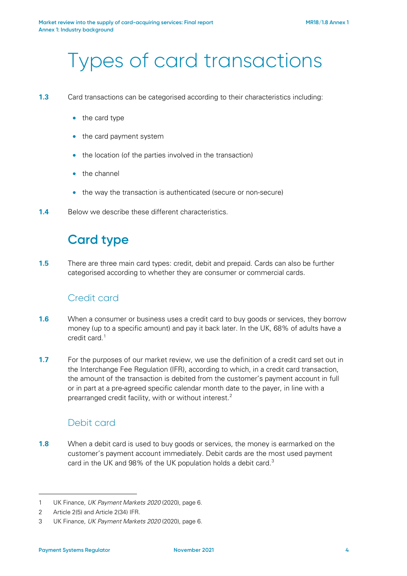## Types of card transactions

- **1.3** Card transactions can be categorised according to their characteristics including:
	- the card type
	- the card payment system
	- the location (of the parties involved in the transaction)
	- the channel
	- the way the transaction is authenticated (secure or non-secure)
- **1.4** Below we describe these different characteristics.

## **Card type**

**1.5** There are three main card types: credit, debit and prepaid. Cards can also be further categorised according to whether they are consumer or commercial cards.

### Credit card

- **1.6** When a consumer or business uses a credit card to buy goods or services, they borrow money (up to a specific amount) and pay it back later. In the UK, 68% of adults have a credit card.[1](#page-3-0)
- **1.7** For the purposes of our market review, we use the definition of a credit card set out in the Interchange Fee Regulation (IFR), according to which, in a credit card transaction, the amount of the transaction is debited from the customer's payment account in full or in part at a pre-agreed specific calendar month date to the payer, in line with a prearranged credit facility, with or without interest.[2](#page-3-1)

### Debit card

**1.8** When a debit card is used to buy goods or services, the money is earmarked on the customer's payment account immediately. Debit cards are the most used payment card in the UK and 98% of the UK population holds a debit card.<sup>3</sup>

<span id="page-3-0"></span><sup>1</sup> UK Finance, *UK Payment Markets 2020* (2020), page 6.

<span id="page-3-1"></span><sup>2</sup> Article 2(5) and Article 2(34) IFR.

<span id="page-3-2"></span><sup>3</sup> UK Finance, *UK Payment Markets 2020* (2020), page 6.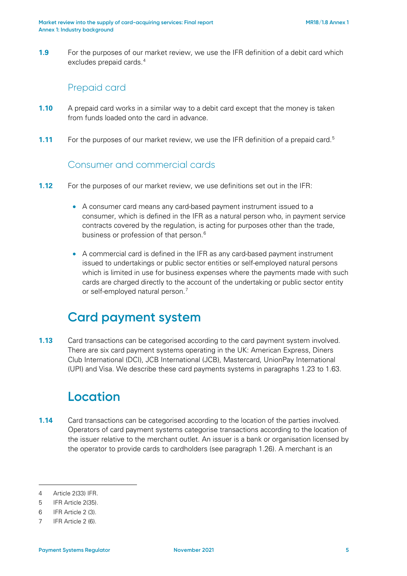**1.9** For the purposes of our market review, we use the IFR definition of a debit card which excludes prepaid cards. [4](#page-4-0)

### Prepaid card

- **1.10** A prepaid card works in a similar way to a debit card except that the money is taken from funds loaded onto the card in advance.
- **1.11** For the purposes of our market review, we use the IFR definition of a prepaid card.<sup>[5](#page-4-1)</sup>

### Consumer and commercial cards

- **1.12** For the purposes of our market review, we use definitions set out in the IFR:
	- A consumer card means any card-based payment instrument issued to a consumer, which is defined in the IFR as a natural person who, in payment service contracts covered by the regulation, is acting for purposes other than the trade, business or profession of that person. [6](#page-4-2)
	- A commercial card is defined in the IFR as any card-based payment instrument issued to undertakings or public sector entities or self-employed natural persons which is limited in use for business expenses where the payments made with such cards are charged directly to the account of the undertaking or public sector entity or self-employed natural person.<sup>[7](#page-4-3)</sup>

## **Card payment system**

**1.13** Card transactions can be categorised according to the card payment system involved. There are six card payment systems operating in the UK: American Express, Diners Club International (DCI), JCB International (JCB), Mastercard, UnionPay International (UPI) and Visa. We describe these card payments systems in paragraphs [1.23](#page-7-0) to [1.63.](#page-18-0)

## **Location**

**1.14** Card transactions can be categorised according to the location of the parties involved. Operators of card payment systems categorise transactions according to the location of the issuer relative to the merchant outlet. An issuer is a bank or organisation licensed by the operator to provide cards to cardholders (see paragraph [1.26\)](#page-7-1). A merchant is an

<span id="page-4-0"></span><sup>4</sup> Article 2(33) IFR.

<span id="page-4-1"></span><sup>5</sup> IFR Article 2(35).

<span id="page-4-2"></span><sup>6</sup> IFR Article 2 (3).

<span id="page-4-3"></span><sup>7</sup> IFR Article 2 (6).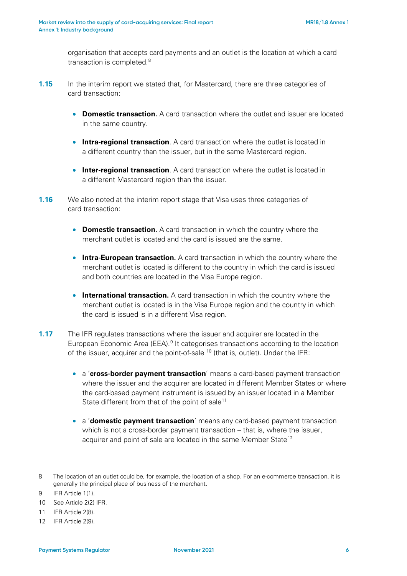organisation that accepts card payments and an outlet is the location at which a card transaction is completed.<sup>[8](#page-5-0)</sup>

- **1.15** In the interim report we stated that, for Mastercard, there are three categories of card transaction:
	- **Domestic transaction.** A card transaction where the outlet and issuer are located in the same country.
	- **Intra-regional transaction**. A card transaction where the outlet is located in a different country than the issuer, but in the same Mastercard region.
	- **Inter-regional transaction**. A card transaction where the outlet is located in a different Mastercard region than the issuer.
- **1.16** We also noted at the interim report stage that Visa uses three categories of card transaction:
	- **Domestic transaction.** A card transaction in which the country where the merchant outlet is located and the card is issued are the same.
	- **Intra-European transaction.** A card transaction in which the country where the merchant outlet is located is different to the country in which the card is issued and both countries are located in the Visa Europe region.
	- **International transaction.** A card transaction in which the country where the merchant outlet is located is in the Visa Europe region and the country in which the card is issued is in a different Visa region.
- **1.17** The IFR regulates transactions where the issuer and acquirer are located in the European Economic Area (EEA).<sup>[9](#page-5-1)</sup> It categorises transactions according to the location of the issuer, acquirer and the point-of-sale <sup>[10](#page-5-2)</sup> (that is, outlet). Under the IFR:
	- a '**cross-border payment transaction**' means a card-based payment transaction where the issuer and the acquirer are located in different Member States or where the card-based payment instrument is issued by an issuer located in a Member State different from that of the point of sale<sup>[11](#page-5-3)</sup>
	- a '**domestic payment transaction**' means any card-based payment transaction which is not a cross-border payment transaction – that is, where the issuer, acquirer and point of sale are located in the same Member State<sup>[12](#page-5-4)</sup>

<span id="page-5-0"></span><sup>8</sup> The location of an outlet could be, for example, the location of a shop. For an e-commerce transaction, it is generally the principal place of business of the merchant.

<span id="page-5-1"></span><sup>9</sup> IFR Article 1(1).

<span id="page-5-2"></span><sup>10</sup> See Article 2(2) IFR.

<span id="page-5-3"></span><sup>11</sup> IFR Article 2(8).

<span id="page-5-4"></span><sup>12</sup> IFR Article 2(9).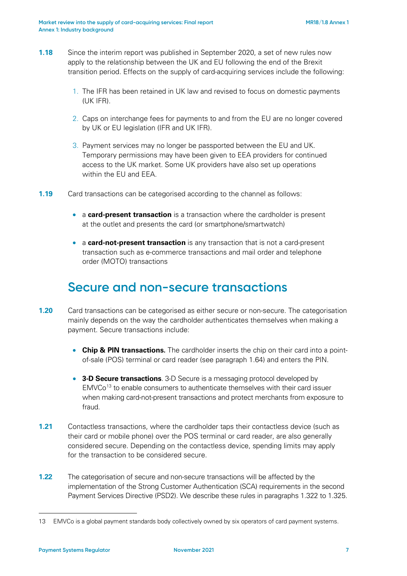- **1.18** Since the interim report was published in September 2020, a set of new rules now apply to the relationship between the UK and EU following the end of the Brexit transition period. Effects on the supply of card-acquiring services include the following:
	- 1. The IFR has been retained in UK law and revised to focus on domestic payments (UK IFR).
	- 2. Caps on interchange fees for payments to and from the EU are no longer covered by UK or EU legislation (IFR and UK IFR).
	- 3. Payment services may no longer be passported between the EU and UK. Temporary permissions may have been given to EEA providers for continued access to the UK market. Some UK providers have also set up operations within the EU and EEA.
- **1.19** Card transactions can be categorised according to the channel as follows:
	- a **card-present transaction** is a transaction where the cardholder is present at the outlet and presents the card (or smartphone/smartwatch)
	- a **card-not-present transaction** is any transaction that is not a card-present transaction such as e-commerce transactions and mail order and telephone order (MOTO) transactions

### **Secure and non-secure transactions**

- **1.20** Card transactions can be categorised as either secure or non-secure. The categorisation mainly depends on the way the cardholder authenticates themselves when making a payment. Secure transactions include:
	- **Chip & PIN transactions.** The cardholder inserts the chip on their card into a pointof-sale (POS) terminal or card reader (see paragraph [1.64\)](#page-19-0) and enters the PIN.
	- **3-D Secure transactions**. 3-D Secure is a messaging protocol developed by  $EMVCo<sup>13</sup>$  $EMVCo<sup>13</sup>$  $EMVCo<sup>13</sup>$  to enable consumers to authenticate themselves with their card issuer when making card-not-present transactions and protect merchants from exposure to fraud.
- **1.21** Contactless transactions, where the cardholder taps their contactless device (such as their card or mobile phone) over the POS terminal or card reader, are also generally considered secure. Depending on the contactless device, spending limits may apply for the transaction to be considered secure.
- **1.22** The categorisation of secure and non-secure transactions will be affected by the implementation of the Strong Customer Authentication (SCA) requirements in the second Payment Services Directive (PSD2). We describe these rules in paragraphs [1.322](#page-72-0) t[o 1.325.](#page-72-1)

<span id="page-6-0"></span><sup>13</sup> EMVCo is a global payment standards body collectively owned by six operators of card payment systems.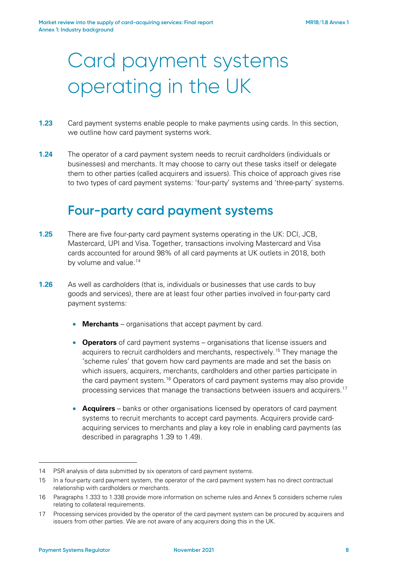# Card payment systems operating in the UK

- <span id="page-7-0"></span>**1.23** Card payment systems enable people to make payments using cards. In this section, we outline how card payment systems work.
- **1.24** The operator of a card payment system needs to recruit cardholders (individuals or businesses) and merchants. It may choose to carry out these tasks itself or delegate them to other parties (called acquirers and issuers). This choice of approach gives rise to two types of card payment systems: 'four-party' systems and 'three-party' systems.

## **Four-party card payment systems**

- **1.25** There are five four-party card payment systems operating in the UK: DCI, JCB, Mastercard, UPI and Visa. Together, transactions involving Mastercard and Visa cards accounted for around 98% of all card payments at UK outlets in 2018, both by volume and value.<sup>[14](#page-7-2)</sup>
- <span id="page-7-1"></span>**1.26** As well as cardholders (that is, individuals or businesses that use cards to buy goods and services), there are at least four other parties involved in four-party card payment systems:
	- **Merchants** organisations that accept payment by card.
	- **Operators** of card payment systems organisations that license issuers and acquirers to recruit cardholders and merchants, respectively.<sup>[15](#page-7-3)</sup> They manage the 'scheme rules' that govern how card payments are made and set the basis on which issuers, acquirers, merchants, cardholders and other parties participate in the card payment system.<sup>[16](#page-7-4)</sup> Operators of card payment systems may also provide processing services that manage the transactions between issuers and acquirers.<sup>[17](#page-7-5)</sup>
	- **Acquirers** banks or other organisations licensed by operators of card payment systems to recruit merchants to accept card payments. Acquirers provide cardacquiring services to merchants and play a key role in enabling card payments (as described in paragraphs [1.39](#page-12-0) to [1.49\)](#page-15-0).

<span id="page-7-2"></span><sup>14</sup> PSR analysis of data submitted by six operators of card payment systems.

<span id="page-7-3"></span><sup>15</sup> In a four-party card payment system, the operator of the card payment system has no direct contractual relationship with cardholders or merchants.

<span id="page-7-4"></span><sup>16</sup> Paragraphs 1.333 to 1.338 provide more information on scheme rules and Annex 5 considers scheme rules relating to collateral requirements.

<span id="page-7-5"></span><sup>17</sup> Processing services provided by the operator of the card payment system can be procured by acquirers and issuers from other parties. We are not aware of any acquirers doing this in the UK.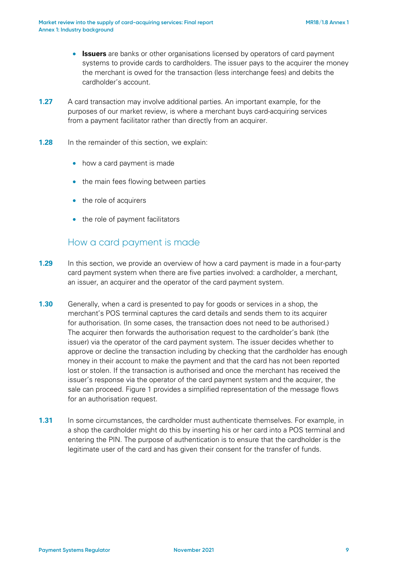- **Issuers** are banks or other organisations licensed by operators of card payment systems to provide cards to cardholders. The issuer pays to the acquirer the money the merchant is owed for the transaction (less interchange fees) and debits the cardholder's account.
- **1.27** A card transaction may involve additional parties. An important example, for the purposes of our market review, is where a merchant buys card-acquiring services from a payment facilitator rather than directly from an acquirer.
- **1.28** In the remainder of this section, we explain:
	- how a card payment is made
	- the main fees flowing between parties
	- the role of acquirers
	- the role of payment facilitators

### How a card payment is made

- <span id="page-8-1"></span>**1.29** In this section, we provide an overview of how a card payment is made in a four-party card payment system when there are five parties involved: a cardholder, a merchant, an issuer, an acquirer and the operator of the card payment system.
- <span id="page-8-0"></span>**1.30** Generally, when a card is presented to pay for goods or services in a shop, the merchant's POS terminal captures the card details and sends them to its acquirer for authorisation. (In some cases, the transaction does not need to be authorised.) The acquirer then forwards the authorisation request to the cardholder's bank (the issuer) via the operator of the card payment system. The issuer decides whether to approve or decline the transaction including by checking that the cardholder has enough money in their account to make the payment and that the card has not been reported lost or stolen. If the transaction is authorised and once the merchant has received the issuer's response via the operator of the card payment system and the acquirer, the sale can proceed. [Figure 1](#page-9-0) provides a simplified representation of the message flows for an authorisation request.
- **1.31** In some circumstances, the cardholder must authenticate themselves. For example, in a shop the cardholder might do this by inserting his or her card into a POS terminal and entering the PIN. The purpose of authentication is to ensure that the cardholder is the legitimate user of the card and has given their consent for the transfer of funds.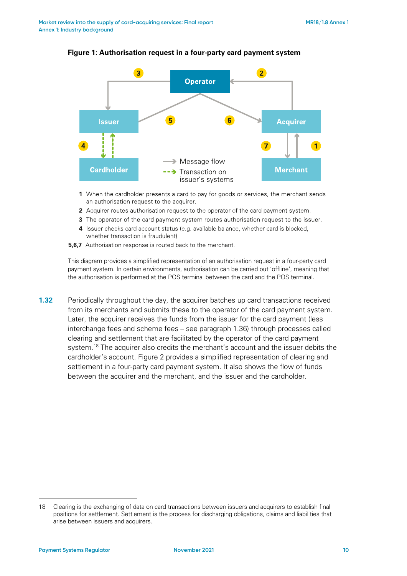

#### <span id="page-9-0"></span>**Figure 1: Authorisation request in a four-party card payment system**

- 1 When the cardholder presents a card to pay for goods or services, the merchant sends an authorisation request to the acquirer.
- 2 Acquirer routes authorisation request to the operator of the card payment system.
- 3 The operator of the card payment system routes authorisation request to the issuer.
- 4 Issuer checks card account status (e.g. available balance, whether card is blocked, whether transaction is fraudulent).
- 5,6,7 Authorisation response is routed back to the merchant.

This diagram provides a simplified representation of an authorisation request in a four-party card payment system. In certain environments, authorisation can be carried out 'offline', meaning that the authorisation is performed at the POS terminal between the card and the POS terminal.

<span id="page-9-2"></span>**1.32** Periodically throughout the day, the acquirer batches up card transactions received from its merchants and submits these to the operator of the card payment system. Later, the acquirer receives the funds from the issuer for the card payment (less interchange fees and scheme fees – see paragraph [1.36\)](#page-11-0) through processes called clearing and settlement that are facilitated by the operator of the card payment system.<sup>[18](#page-9-1)</sup> The acquirer also credits the merchant's account and the issuer debits the cardholder's account. [Figure 2](#page-11-1) provides a simplified representation of clearing and settlement in a four-party card payment system. It also shows the flow of funds between the acquirer and the merchant, and the issuer and the cardholder.

<span id="page-9-1"></span><sup>18</sup> Clearing is the exchanging of data on card transactions between issuers and acquirers to establish final positions for settlement. Settlement is the process for discharging obligations, claims and liabilities that arise between issuers and acquirers.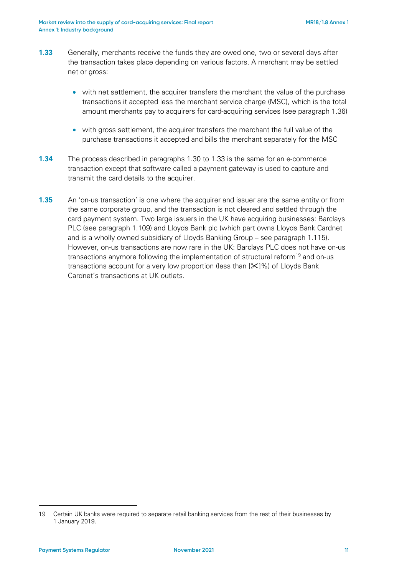- <span id="page-10-0"></span>**1.33** Generally, merchants receive the funds they are owed one, two or several days after the transaction takes place depending on various factors. A merchant may be settled net or gross:
	- with net settlement, the acquirer transfers the merchant the value of the purchase transactions it accepted less the merchant service charge (MSC), which is the total amount merchants pay to acquirers for card-acquiring services (see paragraph [1.36\)](#page-11-0)
	- with gross settlement, the acquirer transfers the merchant the full value of the purchase transactions it accepted and bills the merchant separately for the MSC
- **1.34** The process described in paragraphs [1.30](#page-8-0) to [1.33](#page-10-0) is the same for an e-commerce transaction except that software called a payment gateway is used to capture and transmit the card details to the acquirer.
- **1.35** An 'on-us transaction' is one where the acquirer and issuer are the same entity or from the same corporate group, and the transaction is not cleared and settled through the card payment system. Two large issuers in the UK have acquiring businesses: Barclays PLC (see paragraph [1.109\)](#page-31-0) and Lloyds Bank plc (which part owns Lloyds Bank Cardnet and is a wholly owned subsidiary of Lloyds Banking Group – see paragraph [1.115\)](#page-32-0). However, on-us transactions are now rare in the UK: Barclays PLC does not have on-us transactions anymore following the implementation of structural reform<sup>[19](#page-10-1)</sup> and on-us transactions account for a very low proportion (less than  $[\frac{1}{2}]\%$ ) of Lloyds Bank Cardnet's transactions at UK outlets.

<span id="page-10-1"></span><sup>19</sup> Certain UK banks were required to separate retail banking services from the rest of their businesses by 1 January 2019.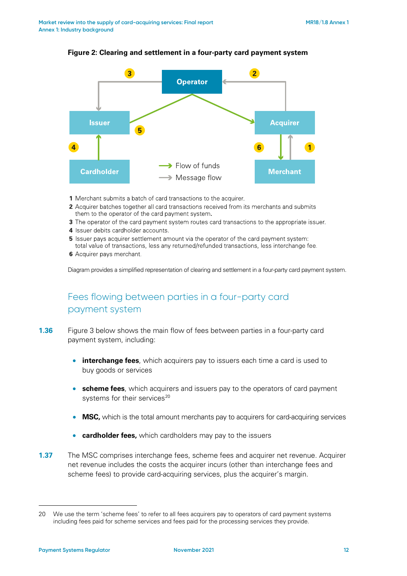<span id="page-11-1"></span>

#### **Figure 2: Clearing and settlement in a four-party card payment system**

- 1 Merchant submits a batch of card transactions to the acquirer.
- 2 Acquirer batches together all card transactions received from its merchants and submits them to the operator of the card payment system.
- 3 The operator of the card payment system routes card transactions to the appropriate issuer.
- 4 Issuer debits cardholder accounts.
- 5 Issuer pays acquirer settlement amount via the operator of the card payment system: total value of transactions, less any returned/refunded transactions, less interchange fee.
- 6 Acquirer pays merchant.

Diagram provides a simplified representation of clearing and settlement in a four-party card payment system.

### Fees flowing between parties in a four-party card payment system

- <span id="page-11-0"></span>**1.36** [Figure 3](#page-12-1) below shows the main flow of fees between parties in a four-party card payment system, including:
	- **interchange fees**, which acquirers pay to issuers each time a card is used to buy goods or services
	- **scheme fees**, which acquirers and issuers pay to the operators of card payment systems for their services<sup>[20](#page-11-2)</sup>
	- **MSC,** which is the total amount merchants pay to acquirers for card-acquiring services
	- **cardholder fees,** which cardholders may pay to the issuers
- **1.37** The MSC comprises interchange fees, scheme fees and acquirer net revenue. Acquirer net revenue includes the costs the acquirer incurs (other than interchange fees and scheme fees) to provide card-acquiring services, plus the acquirer's margin.

<span id="page-11-2"></span><sup>20</sup> We use the term 'scheme fees' to refer to all fees acquirers pay to operators of card payment systems including fees paid for scheme services and fees paid for the processing services they provide.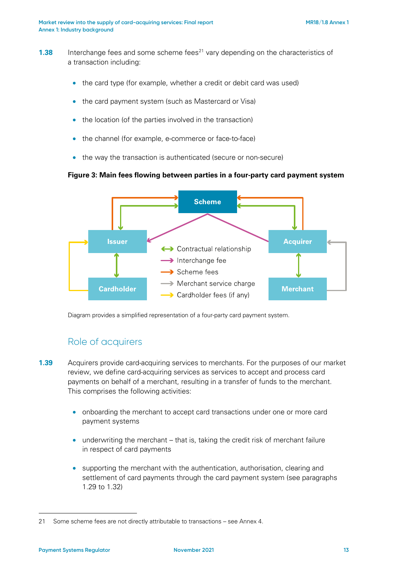- **1.38** Interchange fees and some scheme fees<sup>[21](#page-12-2)</sup> vary depending on the characteristics of a transaction including:
	- the card type (for example, whether a credit or debit card was used)
	- the card payment system (such as Mastercard or Visa)
	- the location (of the parties involved in the transaction)
	- the channel (for example, e-commerce or face-to-face)
	- the way the transaction is authenticated (secure or non-secure)

### **Figure 3: Main fees flowing between parties in a four-party card payment system**

<span id="page-12-1"></span>

Diagram provides a simplified representation of a four-party card payment system.

### Role of acquirers

- <span id="page-12-0"></span>**1.39** Acquirers provide card-acquiring services to merchants. For the purposes of our market review, we define card-acquiring services as services to accept and process card payments on behalf of a merchant, resulting in a transfer of funds to the merchant. This comprises the following activities:
	- onboarding the merchant to accept card transactions under one or more card payment systems
	- underwriting the merchant that is, taking the credit risk of merchant failure in respect of card payments
	- supporting the merchant with the authentication, authorisation, clearing and settlement of card payments through the card payment system (see paragraphs [1.29](#page-8-1) to [1.32\)](#page-9-2)

<span id="page-12-2"></span><sup>21</sup> Some scheme fees are not directly attributable to transactions – see Annex 4.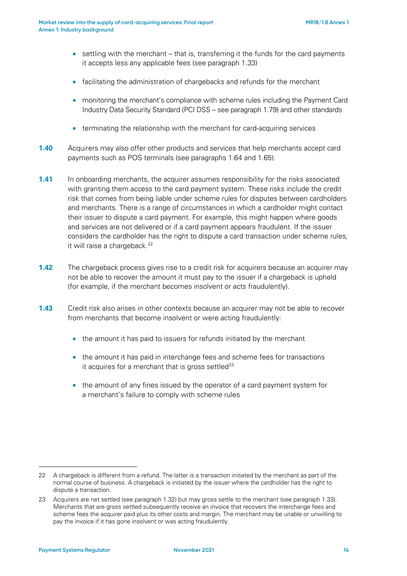- settling with the merchant that is, transferring it the funds for the card payments it accepts less any applicable fees (see paragraph [1.33\)](#page-10-0)
- facilitating the administration of chargebacks and refunds for the merchant
- monitoring the merchant's compliance with scheme rules including the Payment Card Industry Data Security Standard (PCI DSS – see paragraph [1.79\)](#page-21-0) and other standards
- terminating the relationship with the merchant for card-acquiring services
- **1.40** Acquirers may also offer other products and services that help merchants accept card payments such as POS terminals (see paragraphs [1.64](#page-19-0) and [1.65\)](#page-19-1).
- **1.41** In onboarding merchants, the acquirer assumes responsibility for the risks associated with granting them access to the card payment system. These risks include the credit risk that comes from being liable under scheme rules for disputes between cardholders and merchants. There is a range of circumstances in which a cardholder might contact their issuer to dispute a card payment. For example, this might happen where goods and services are not delivered or if a card payment appears fraudulent. If the issuer considers the cardholder has the right to dispute a card transaction under scheme rules, it will raise a chargeback.<sup>[22](#page-13-0)</sup>
- **1.42** The chargeback process gives rise to a credit risk for acquirers because an acquirer may not be able to recover the amount it must pay to the issuer if a chargeback is upheld (for example, if the merchant becomes insolvent or acts fraudulently).
- <span id="page-13-2"></span>**1.43** Credit risk also arises in other contexts because an acquirer may not be able to recover from merchants that become insolvent or were acting fraudulently:
	- the amount it has paid to issuers for refunds initiated by the merchant
	- the amount it has paid in interchange fees and scheme fees for transactions it acquires for a merchant that is gross settled<sup>[23](#page-13-1)</sup>
	- the amount of any fines issued by the operator of a card payment system for a merchant's failure to comply with scheme rules

<span id="page-13-0"></span><sup>22</sup> A chargeback is different from a refund. The latter is a transaction initiated by the merchant as part of the normal course of business. A chargeback is initiated by the issuer where the cardholder has the right to dispute a transaction.

<span id="page-13-1"></span><sup>23</sup> Acquirers are net settled (see paragraph 1.32) but may gross settle to the merchant (see paragraph 1.33). Merchants that are gross settled subsequently receive an invoice that recovers the interchange fees and scheme fees the acquirer paid plus its other costs and margin. The merchant may be unable or unwilling to pay the invoice if it has gone insolvent or was acting fraudulently.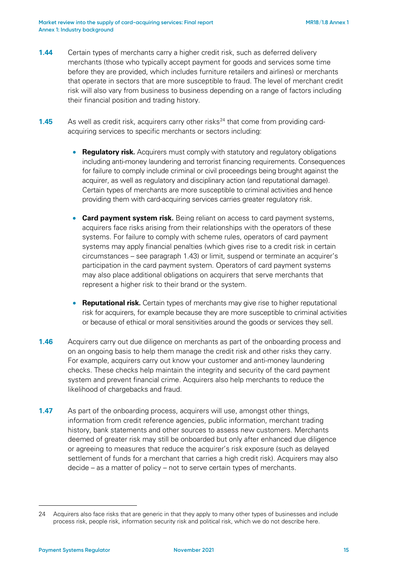- **1.44** Certain types of merchants carry a higher credit risk, such as deferred delivery merchants (those who typically accept payment for goods and services some time before they are provided, which includes furniture retailers and airlines) or merchants that operate in sectors that are more susceptible to fraud. The level of merchant credit risk will also vary from business to business depending on a range of factors including their financial position and trading history.
- **1.45** As well as credit risk, acquirers carry other risks<sup>[24](#page-14-0)</sup> that come from providing cardacquiring services to specific merchants or sectors including:
	- **Regulatory risk.** Acquirers must comply with statutory and regulatory obligations including anti-money laundering and terrorist financing requirements. Consequences for failure to comply include criminal or civil proceedings being brought against the acquirer, as well as regulatory and disciplinary action (and reputational damage). Certain types of merchants are more susceptible to criminal activities and hence providing them with card-acquiring services carries greater regulatory risk.
	- **Card payment system risk.** Being reliant on access to card payment systems, acquirers face risks arising from their relationships with the operators of these systems. For failure to comply with scheme rules, operators of card payment systems may apply financial penalties (which gives rise to a credit risk in certain circumstances – see paragraph [1.43\)](#page-13-2) or limit, suspend or terminate an acquirer's participation in the card payment system. Operators of card payment systems may also place additional obligations on acquirers that serve merchants that represent a higher risk to their brand or the system.
	- **Reputational risk.** Certain types of merchants may give rise to higher reputational risk for acquirers, for example because they are more susceptible to criminal activities or because of ethical or moral sensitivities around the goods or services they sell.
- **1.46** Acquirers carry out due diligence on merchants as part of the onboarding process and on an ongoing basis to help them manage the credit risk and other risks they carry. For example, acquirers carry out know your customer and anti-money laundering checks. These checks help maintain the integrity and security of the card payment system and prevent financial crime. Acquirers also help merchants to reduce the likelihood of chargebacks and fraud.
- **1.47** As part of the onboarding process, acquirers will use, amongst other things, information from credit reference agencies, public information, merchant trading history, bank statements and other sources to assess new customers. Merchants deemed of greater risk may still be onboarded but only after enhanced due diligence or agreeing to measures that reduce the acquirer's risk exposure (such as delayed settlement of funds for a merchant that carries a high credit risk). Acquirers may also decide – as a matter of policy – not to serve certain types of merchants.

<span id="page-14-0"></span><sup>24</sup> Acquirers also face risks that are generic in that they apply to many other types of businesses and include process risk, people risk, information security risk and political risk, which we do not describe here.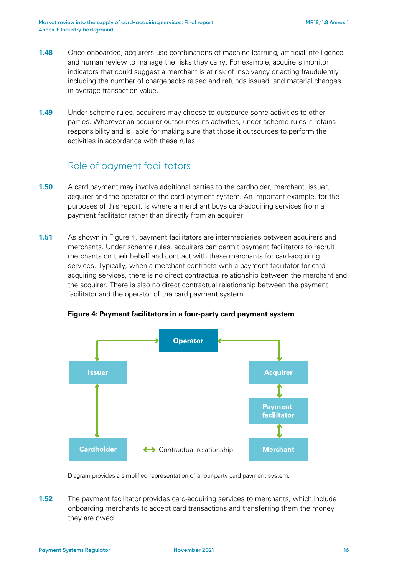- **1.48** Once onboarded, acquirers use combinations of machine learning, artificial intelligence and human review to manage the risks they carry. For example, acquirers monitor indicators that could suggest a merchant is at risk of insolvency or acting fraudulently including the number of chargebacks raised and refunds issued, and material changes in average transaction value.
- <span id="page-15-0"></span>**1.49** Under scheme rules, acquirers may choose to outsource some activities to other parties. Wherever an acquirer outsources its activities, under scheme rules it retains responsibility and is liable for making sure that those it outsources to perform the activities in accordance with these rules.

### Role of payment facilitators

- **1.50** A card payment may involve additional parties to the cardholder, merchant, issuer, acquirer and the operator of the card payment system. An important example, for the purposes of this report, is where a merchant buys card-acquiring services from a payment facilitator rather than directly from an acquirer.
- **1.51** As shown in [Figure 4,](#page-15-1) payment facilitators are intermediaries between acquirers and merchants. Under scheme rules, acquirers can permit payment facilitators to recruit merchants on their behalf and contract with these merchants for card-acquiring services. Typically, when a merchant contracts with a payment facilitator for cardacquiring services, there is no direct contractual relationship between the merchant and the acquirer. There is also no direct contractual relationship between the payment facilitator and the operator of the card payment system.

<span id="page-15-1"></span>

### **Figure 4: Payment facilitators in a four-party card payment system**

Diagram provides a simplified representation of a four-party card payment system.

**1.52** The payment facilitator provides card-acquiring services to merchants, which include onboarding merchants to accept card transactions and transferring them the money they are owed.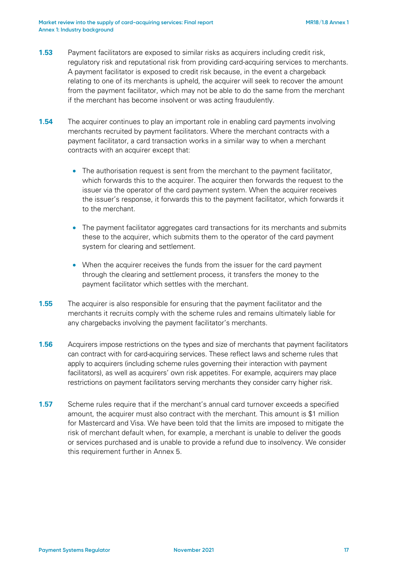- **1.53** Payment facilitators are exposed to similar risks as acquirers including credit risk, regulatory risk and reputational risk from providing card-acquiring services to merchants. A payment facilitator is exposed to credit risk because, in the event a chargeback relating to one of its merchants is upheld, the acquirer will seek to recover the amount from the payment facilitator, which may not be able to do the same from the merchant if the merchant has become insolvent or was acting fraudulently.
- **1.54** The acquirer continues to play an important role in enabling card payments involving merchants recruited by payment facilitators. Where the merchant contracts with a payment facilitator, a card transaction works in a similar way to when a merchant contracts with an acquirer except that:
	- The authorisation request is sent from the merchant to the payment facilitator, which forwards this to the acquirer. The acquirer then forwards the request to the issuer via the operator of the card payment system. When the acquirer receives the issuer's response, it forwards this to the payment facilitator, which forwards it to the merchant.
	- The payment facilitator aggregates card transactions for its merchants and submits these to the acquirer, which submits them to the operator of the card payment system for clearing and settlement.
	- When the acquirer receives the funds from the issuer for the card payment through the clearing and settlement process, it transfers the money to the payment facilitator which settles with the merchant.
- **1.55** The acquirer is also responsible for ensuring that the payment facilitator and the merchants it recruits comply with the scheme rules and remains ultimately liable for any chargebacks involving the payment facilitator's merchants.
- **1.56** Acquirers impose restrictions on the types and size of merchants that payment facilitators can contract with for card-acquiring services. These reflect laws and scheme rules that apply to acquirers (including scheme rules governing their interaction with payment facilitators), as well as acquirers' own risk appetites. For example, acquirers may place restrictions on payment facilitators serving merchants they consider carry higher risk.
- **1.57** Scheme rules require that if the merchant's annual card turnover exceeds a specified amount, the acquirer must also contract with the merchant. This amount is \$1 million for Mastercard and Visa. We have been told that the limits are imposed to mitigate the risk of merchant default when, for example, a merchant is unable to deliver the goods or services purchased and is unable to provide a refund due to insolvency. We consider this requirement further in Annex 5.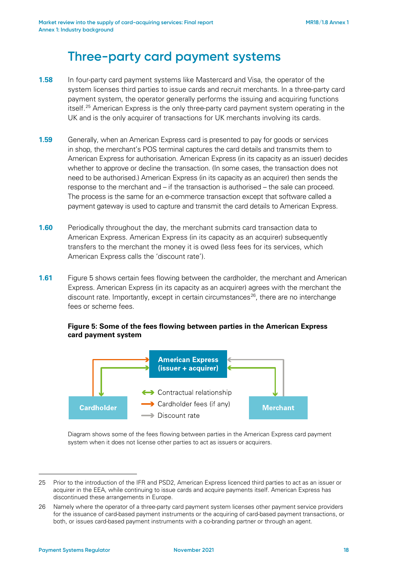## **Three-party card payment systems**

- **1.58** In four-party card payment systems like Mastercard and Visa, the operator of the system licenses third parties to issue cards and recruit merchants. In a three-party card payment system, the operator generally performs the issuing and acquiring functions itself.[25](#page-17-0) American Express is the only three-party card payment system operating in the UK and is the only acquirer of transactions for UK merchants involving its cards.
- **1.59** Generally, when an American Express card is presented to pay for goods or services in shop, the merchant's POS terminal captures the card details and transmits them to American Express for authorisation. American Express (in its capacity as an issuer) decides whether to approve or decline the transaction. (In some cases, the transaction does not need to be authorised.) American Express (in its capacity as an acquirer) then sends the response to the merchant and – if the transaction is authorised – the sale can proceed. The process is the same for an e-commerce transaction except that software called a payment gateway is used to capture and transmit the card details to American Express.
- **1.60** Periodically throughout the day, the merchant submits card transaction data to American Express. American Express (in its capacity as an acquirer) subsequently transfers to the merchant the money it is owed (less fees for its services, which American Express calls the 'discount rate').
- **1.61** Figure 5 shows certain fees flowing between the cardholder, the merchant and American Express. American Express (in its capacity as an acquirer) agrees with the merchant the discount rate. Importantly, except in certain circumstances<sup>[26](#page-17-1)</sup>, there are no interchange fees or scheme fees.

### **Figure 5: Some of the fees flowing between parties in the American Express card payment system**



Diagram shows some of the fees flowing between parties in the American Express card payment system when it does not license other parties to act as issuers or acquirers.

<span id="page-17-0"></span><sup>25</sup> Prior to the introduction of the IFR and PSD2, American Express licenced third parties to act as an issuer or acquirer in the EEA, while continuing to issue cards and acquire payments itself. American Express has discontinued these arrangements in Europe.

<span id="page-17-1"></span><sup>26</sup> Namely where the operator of a three-party card payment system licenses other payment service providers for the issuance of card-based payment instruments or the acquiring of card-based payment transactions, or both, or issues card-based payment instruments with a co-branding partner or through an agent.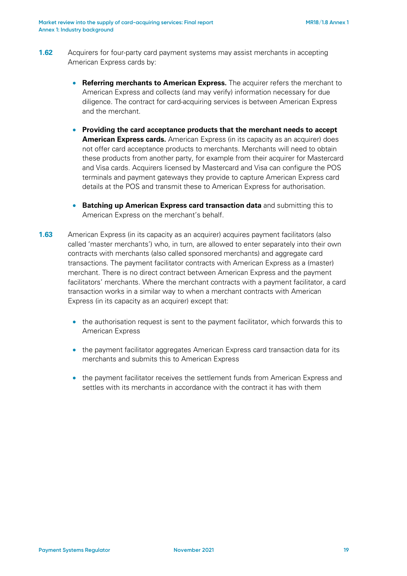- **1.62** Acquirers for four-party card payment systems may assist merchants in accepting American Express cards by:
	- **Referring merchants to American Express.** The acquirer refers the merchant to American Express and collects (and may verify) information necessary for due diligence. The contract for card-acquiring services is between American Express and the merchant.
	- **Providing the card acceptance products that the merchant needs to accept American Express cards.** American Express (in its capacity as an acquirer) does not offer card acceptance products to merchants. Merchants will need to obtain these products from another party, for example from their acquirer for Mastercard and Visa cards. Acquirers licensed by Mastercard and Visa can configure the POS terminals and payment gateways they provide to capture American Express card details at the POS and transmit these to American Express for authorisation.
	- **Batching up American Express card transaction data** and submitting this to American Express on the merchant's behalf.
- <span id="page-18-0"></span>**1.63** American Express (in its capacity as an acquirer) acquires payment facilitators (also called 'master merchants') who, in turn, are allowed to enter separately into their own contracts with merchants (also called sponsored merchants) and aggregate card transactions. The payment facilitator contracts with American Express as a (master) merchant. There is no direct contract between American Express and the payment facilitators' merchants. Where the merchant contracts with a payment facilitator, a card transaction works in a similar way to when a merchant contracts with American Express (in its capacity as an acquirer) except that:
	- the authorisation request is sent to the payment facilitator, which forwards this to American Express
	- the payment facilitator aggregates American Express card transaction data for its merchants and submits this to American Express
	- the payment facilitator receives the settlement funds from American Express and settles with its merchants in accordance with the contract it has with them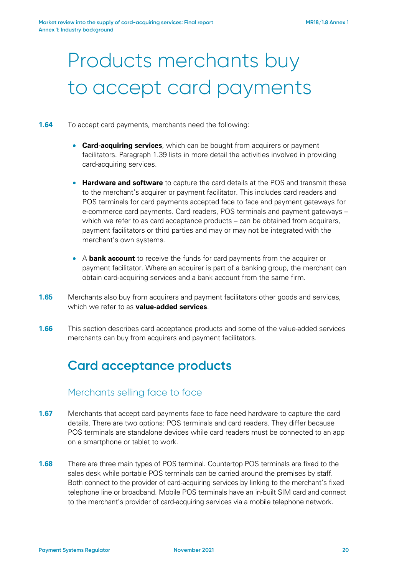# Products merchants buy to accept card payments

- <span id="page-19-0"></span>**1.64** To accept card payments, merchants need the following:
	- **Card-acquiring services**, which can be bought from acquirers or payment facilitators. Paragraph [1.39](#page-12-0) lists in more detail the activities involved in providing card-acquiring services.
	- **Hardware and software** to capture the card details at the POS and transmit these to the merchant's acquirer or payment facilitator. This includes card readers and POS terminals for card payments accepted face to face and payment gateways for e-commerce card payments. Card readers, POS terminals and payment gateways – which we refer to as card acceptance products – can be obtained from acquirers, payment facilitators or third parties and may or may not be integrated with the merchant's own systems.
	- A **bank account** to receive the funds for card payments from the acquirer or payment facilitator. Where an acquirer is part of a banking group, the merchant can obtain card-acquiring services and a bank account from the same firm.
- <span id="page-19-1"></span>**1.65** Merchants also buy from acquirers and payment facilitators other goods and services. which we refer to as **value-added services**.
- **1.66** This section describes card acceptance products and some of the value-added services merchants can buy from acquirers and payment facilitators.

## **Card acceptance products**

### Merchants selling face to face

- **1.67** Merchants that accept card payments face to face need hardware to capture the card details. There are two options: POS terminals and card readers. They differ because POS terminals are standalone devices while card readers must be connected to an app on a smartphone or tablet to work.
- **1.68** There are three main types of POS terminal. Countertop POS terminals are fixed to the sales desk while portable POS terminals can be carried around the premises by staff. Both connect to the provider of card-acquiring services by linking to the merchant's fixed telephone line or broadband. Mobile POS terminals have an in-built SIM card and connect to the merchant's provider of card-acquiring services via a mobile telephone network.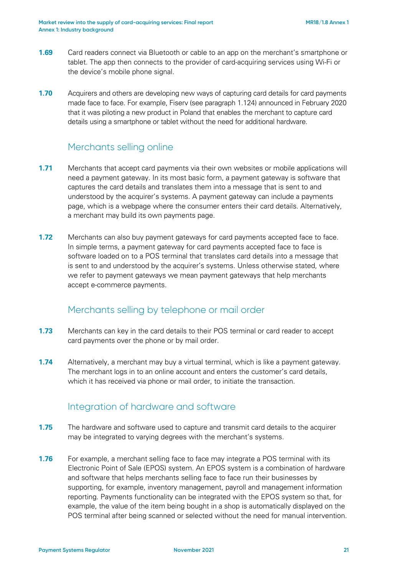- **1.69** Card readers connect via Bluetooth or cable to an app on the merchant's smartphone or tablet. The app then connects to the provider of card-acquiring services using Wi-Fi or the device's mobile phone signal.
- **1.70** Acquirers and others are developing new ways of capturing card details for card payments made face to face. For example, Fiserv (see paragraph [1.124\)](#page-34-0) announced in February 2020 that it was piloting a new product in Poland that enables the merchant to capture card details using a smartphone or tablet without the need for additional hardware.

### Merchants selling online

- **1.71** Merchants that accept card payments via their own websites or mobile applications will need a payment gateway. In its most basic form, a payment gateway is software that captures the card details and translates them into a message that is sent to and understood by the acquirer's systems. A payment gateway can include a payments page, which is a webpage where the consumer enters their card details. Alternatively, a merchant may build its own payments page.
- **1.72** Merchants can also buy payment gateways for card payments accepted face to face. In simple terms, a payment gateway for card payments accepted face to face is software loaded on to a POS terminal that translates card details into a message that is sent to and understood by the acquirer's systems. Unless otherwise stated, where we refer to payment gateways we mean payment gateways that help merchants accept e-commerce payments.

### Merchants selling by telephone or mail order

- **1.73** Merchants can key in the card details to their POS terminal or card reader to accept card payments over the phone or by mail order.
- **1.74** Alternatively, a merchant may buy a virtual terminal, which is like a payment gateway. The merchant logs in to an online account and enters the customer's card details, which it has received via phone or mail order, to initiate the transaction.

### Integration of hardware and software

- **1.75** The hardware and software used to capture and transmit card details to the acquirer may be integrated to varying degrees with the merchant's systems.
- **1.76** For example, a merchant selling face to face may integrate a POS terminal with its Electronic Point of Sale (EPOS) system. An EPOS system is a combination of hardware and software that helps merchants selling face to face run their businesses by supporting, for example, inventory management, payroll and management information reporting. Payments functionality can be integrated with the EPOS system so that, for example, the value of the item being bought in a shop is automatically displayed on the POS terminal after being scanned or selected without the need for manual intervention.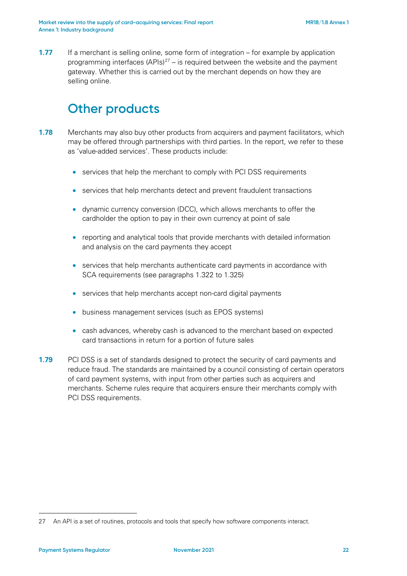**1.77** If a merchant is selling online, some form of integration – for example by application programming interfaces  $(APIs)^{27}$  – is required between the website and the payment gateway. Whether this is carried out by the merchant depends on how they are selling online.

## **Other products**

- **1.78** Merchants may also buy other products from acquirers and payment facilitators, which may be offered through partnerships with third parties. In the report, we refer to these as 'value-added services'. These products include:
	- services that help the merchant to comply with PCI DSS requirements
	- services that help merchants detect and prevent fraudulent transactions
	- dynamic currency conversion (DCC), which allows merchants to offer the cardholder the option to pay in their own currency at point of sale
	- reporting and analytical tools that provide merchants with detailed information and analysis on the card payments they accept
	- services that help merchants authenticate card payments in accordance with SCA requirements (see paragraphs [1.322](#page-72-0) to [1.325\)](#page-72-1)
	- services that help merchants accept non-card digital payments
	- business management services (such as EPOS systems)
	- cash advances, whereby cash is advanced to the merchant based on expected card transactions in return for a portion of future sales
- <span id="page-21-0"></span>**1.79** PCI DSS is a set of standards designed to protect the security of card payments and reduce fraud. The standards are maintained by a council consisting of certain operators of card payment systems, with input from other parties such as acquirers and merchants. Scheme rules require that acquirers ensure their merchants comply with PCI DSS requirements.

<span id="page-21-1"></span><sup>27</sup> An API is a set of routines, protocols and tools that specify how software components interact.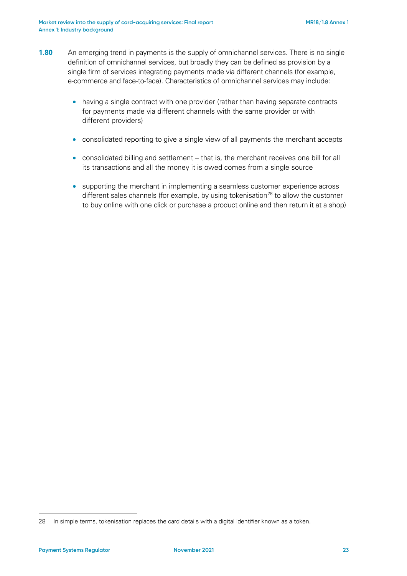- <span id="page-22-1"></span>**1.80** An emerging trend in payments is the supply of omnichannel services. There is no single definition of omnichannel services, but broadly they can be defined as provision by a single firm of services integrating payments made via different channels (for example, e-commerce and face-to-face). Characteristics of omnichannel services may include:
	- having a single contract with one provider (rather than having separate contracts for payments made via different channels with the same provider or with different providers)
	- consolidated reporting to give a single view of all payments the merchant accepts
	- consolidated billing and settlement that is, the merchant receives one bill for all its transactions and all the money it is owed comes from a single source
	- supporting the merchant in implementing a seamless customer experience across different sales channels (for example, by using tokenisation<sup>[28](#page-22-0)</sup> to allow the customer to buy online with one click or purchase a product online and then return it at a shop)

<span id="page-22-0"></span><sup>28</sup> In simple terms, tokenisation replaces the card details with a digital identifier known as a token.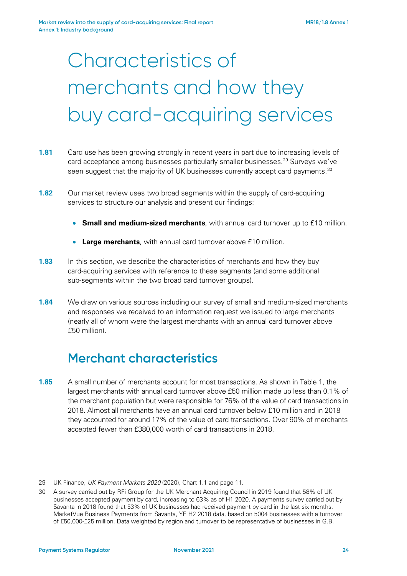# Characteristics of merchants and how they buy card-acquiring services

- **1.81** Card use has been growing strongly in recent years in part due to increasing levels of card acceptance among businesses particularly smaller businesses.<sup>[29](#page-23-0)</sup> Surveys we've seen suggest that the majority of UK businesses currently accept card payments.<sup>[30](#page-23-1)</sup>
- **1.82** Our market review uses two broad segments within the supply of card-acquiring services to structure our analysis and present our findings:
	- **Small and medium-sized merchants**, with annual card turnover up to £10 million.
	- **Large merchants**, with annual card turnover above £10 million.
- **1.83** In this section, we describe the characteristics of merchants and how they buy card-acquiring services with reference to these segments (and some additional sub-segments within the two broad card turnover groups).
- **1.84** We draw on various sources including our survey of small and medium-sized merchants and responses we received to an information request we issued to large merchants (nearly all of whom were the largest merchants with an annual card turnover above £50 million).

## **Merchant characteristics**

**1.85** A small number of merchants account for most transactions. As shown in [Table 1,](#page-24-0) the largest merchants with annual card turnover above £50 million made up less than 0.1% of the merchant population but were responsible for 76% of the value of card transactions in 2018. Almost all merchants have an annual card turnover below £10 million and in 2018 they accounted for around 17% of the value of card transactions. Over 90% of merchants accepted fewer than £380,000 worth of card transactions in 2018.

<span id="page-23-0"></span><sup>29</sup> UK Finance, *UK Payment Markets 2020* (2020), Chart 1.1 and page 11.

<span id="page-23-1"></span><sup>30</sup> A survey carried out by RFi Group for the UK Merchant Acquiring Council in 2019 found that 58% of UK businesses accepted payment by card, increasing to 63% as of H1 2020. A payments survey carried out by Savanta in 2018 found that 53% of UK businesses had received payment by card in the last six months. MarketVue Business Payments from Savanta, YE H2 2018 data, based on 5004 businesses with a turnover of £50,000-£25 million. Data weighted by region and turnover to be representative of businesses in G.B.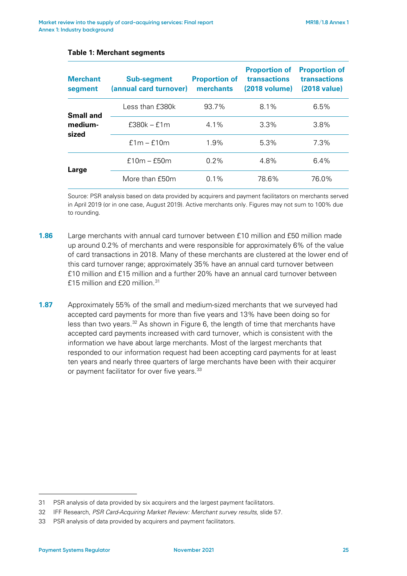| <b>Merchant</b><br>segment    | <b>Sub-segment</b><br>(annual card turnover) | <b>Proportion of</b><br>merchants | <b>Proportion of</b><br>transactions<br>(2018 volume) | <b>Proportion of</b><br>transactions<br>(2018 value) |
|-------------------------------|----------------------------------------------|-----------------------------------|-------------------------------------------------------|------------------------------------------------------|
| Small and<br>medium-<br>sized | Less than £380k                              | 93.7%                             | 8.1%                                                  | 6.5%                                                 |
|                               | $£380k - £1m$                                | $4.1\%$                           | $3.3\%$                                               | $3.8\%$                                              |
|                               | $f1m - f10m$                                 | 1.9%                              | 5.3%                                                  | 7.3%                                                 |
| Large                         | $f10m - f50m$                                | 0.2%                              | 4.8%                                                  | $6.4\%$                                              |
|                               | More than f50m                               | $0.1\%$                           | 78.6%                                                 | 76.0%                                                |

#### <span id="page-24-0"></span>**Table 1: Merchant segments**

Source: PSR analysis based on data provided by acquirers and payment facilitators on merchants served in April 2019 (or in one case, August 2019). Active merchants only. Figures may not sum to 100% due to rounding.

- **1.86** Large merchants with annual card turnover between £10 million and £50 million made up around 0.2% of merchants and were responsible for approximately 6% of the value of card transactions in 2018. Many of these merchants are clustered at the lower end of this card turnover range; approximately 35% have an annual card turnover between £10 million and £15 million and a further 20% have an annual card turnover between  $f15$  million and  $f20$  million  $31$
- **1.87** Approximately 55% of the small and medium-sized merchants that we surveyed had accepted card payments for more than five years and 13% have been doing so for less than two years. $32$  As shown in [Figure 6,](#page-25-0) the length of time that merchants have accepted card payments increased with card turnover, which is consistent with the information we have about large merchants. Most of the largest merchants that responded to our information request had been accepting card payments for at least ten years and nearly three quarters of large merchants have been with their acquirer or payment facilitator for over five years.<sup>[33](#page-24-3)</sup>

<span id="page-24-1"></span><sup>31</sup> PSR analysis of data provided by six acquirers and the largest payment facilitators.

<span id="page-24-2"></span><sup>32</sup> IFF Research, *PSR Card-Acquiring Market Review: Merchant survey results*, slide 57.

<span id="page-24-3"></span><sup>33</sup> PSR analysis of data provided by acquirers and payment facilitators.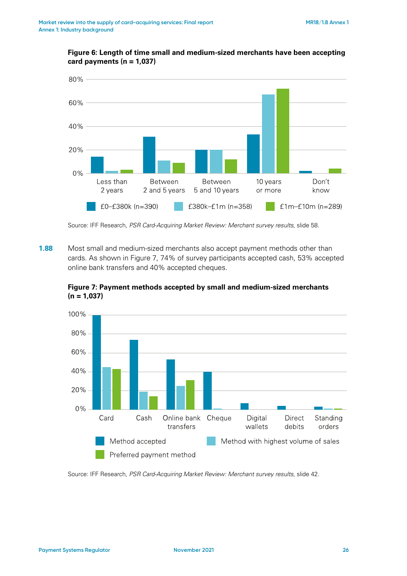<span id="page-25-0"></span>

### **Figure 6: Length of time small and medium-sized merchants have been accepting card payments (n = 1,037)**

Source: IFF Research, *PSR Card-Acquiring Market Review: Merchant survey results*, slide 58.

**1.88** Most small and medium-sized merchants also accept payment methods other than cards. As shown in [Figure 7,](#page-25-1) 74% of survey participants accepted cash, 53% accepted online bank transfers and 40% accepted cheques.



<span id="page-25-1"></span>**Figure 7: Payment methods accepted by small and medium-sized merchants (n = 1,037)**

Source: IFF Research, *PSR Card-Acquiring Market Review: Merchant survey results*, slide 42.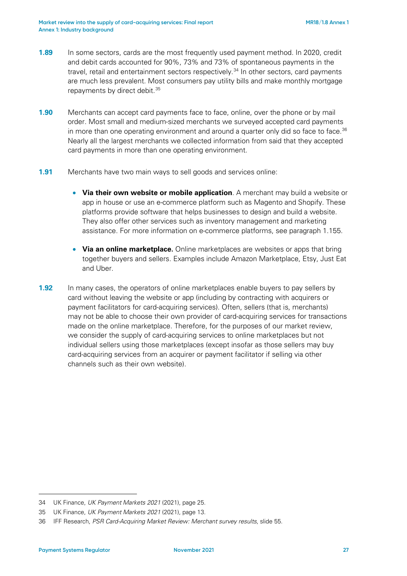- **1.89** In some sectors, cards are the most frequently used payment method. In 2020, credit and debit cards accounted for 90%, 73% and 73% of spontaneous payments in the travel, retail and entertainment sectors respectively.<sup>[34](#page-26-0)</sup> In other sectors, card payments are much less prevalent. Most consumers pay utility bills and make monthly mortgage repayments by direct debit.<sup>[35](#page-26-1)</sup>
- **1.90** Merchants can accept card payments face to face, online, over the phone or by mail order. Most small and medium-sized merchants we surveyed accepted card payments in more than one operating environment and around a quarter only did so face to face.<sup>[36](#page-26-2)</sup> Nearly all the largest merchants we collected information from said that they accepted card payments in more than one operating environment.
- **1.91** Merchants have two main ways to sell goods and services online:
	- **Via their own website or mobile application**. A merchant may build a website or app in house or use an e-commerce platform such as Magento and Shopify. These platforms provide software that helps businesses to design and build a website. They also offer other services such as inventory management and marketing assistance. For more information on e-commerce platforms, see paragraph [1.155.](#page-40-0)
	- **Via an online marketplace.** Online marketplaces are websites or apps that bring together buyers and sellers. Examples include Amazon Marketplace, Etsy, Just Eat and Uber.
- **1.92** In many cases, the operators of online marketplaces enable buyers to pay sellers by card without leaving the website or app (including by contracting with acquirers or payment facilitators for card-acquiring services). Often, sellers (that is, merchants) may not be able to choose their own provider of card-acquiring services for transactions made on the online marketplace. Therefore, for the purposes of our market review, we consider the supply of card-acquiring services to online marketplaces but not individual sellers using those marketplaces (except insofar as those sellers may buy card-acquiring services from an acquirer or payment facilitator if selling via other channels such as their own website).

<span id="page-26-0"></span><sup>34</sup> UK Finance, *UK Payment Markets 2021* (2021), page 25.

<span id="page-26-1"></span><sup>35</sup> UK Finance, *UK Payment Markets 2021* (2021), page 13.

<span id="page-26-2"></span><sup>36</sup> IFF Research, *PSR Card-Acquiring Market Review: Merchant survey results*, slide 55.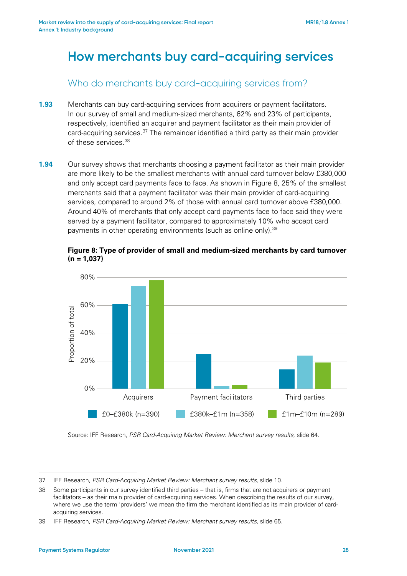## **How merchants buy card-acquiring services**

Who do merchants buy card-acquiring services from?

- **1.93** Merchants can buy card-acquiring services from acquirers or payment facilitators. In our survey of small and medium-sized merchants, 62% and 23% of participants, respectively, identified an acquirer and payment facilitator as their main provider of card-acquiring services.<sup>[37](#page-27-1)</sup> The remainder identified a third party as their main provider of these services.[38](#page-27-2)
- **1.94** Our survey shows that merchants choosing a payment facilitator as their main provider are more likely to be the smallest merchants with annual card turnover below £380,000 and only accept card payments face to face. As shown in [Figure 8,](#page-27-0) 25% of the smallest merchants said that a payment facilitator was their main provider of card-acquiring services, compared to around 2% of those with annual card turnover above £380,000. Around 40% of merchants that only accept card payments face to face said they were served by a payment facilitator, compared to approximately 10% who accept card payments in other operating environments (such as online only).<sup>[39](#page-27-3)</sup>

<span id="page-27-0"></span>**Figure 8: Type of provider of small and medium-sized merchants by card turnover (n = 1,037)**



Source: IFF Research, *PSR Card-Acquiring Market Review: Merchant survey results*, slide 64.

<span id="page-27-1"></span><sup>37</sup> IFF Research, *PSR Card-Acquiring Market Review: Merchant survey results*, slide 10.

<span id="page-27-2"></span><sup>38</sup> Some participants in our survey identified third parties – that is, firms that are not acquirers or payment facilitators – as their main provider of card-acquiring services. When describing the results of our survey, where we use the term 'providers' we mean the firm the merchant identified as its main provider of cardacquiring services.

<span id="page-27-3"></span><sup>39</sup> IFF Research, *PSR Card-Acquiring Market Review: Merchant survey results*, slide 65.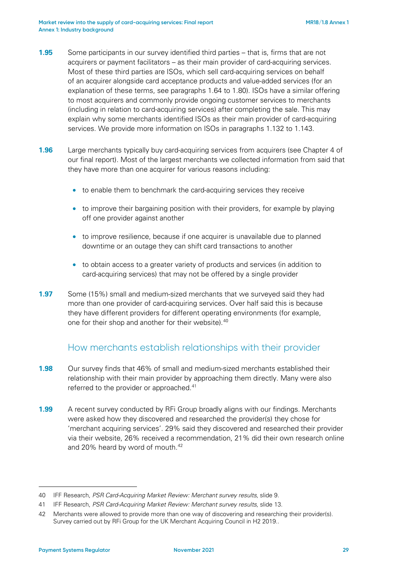- <span id="page-28-3"></span>**1.95** Some participants in our survey identified third parties – that is, firms that are not acquirers or payment facilitators – as their main provider of card-acquiring services. Most of these third parties are ISOs, which sell card-acquiring services on behalf of an acquirer alongside card acceptance products and value-added services (for an explanation of these terms, see paragraphs [1.64](#page-19-0) to [1.80\)](#page-22-1). ISOs have a similar offering to most acquirers and commonly provide ongoing customer services to merchants (including in relation to card-acquiring services) after completing the sale. This may explain why some merchants identified ISOs as their main provider of card-acquiring services. We provide more information on ISOs in paragraphs [1.132](#page-36-0) to [1.143.](#page-38-0)
- **1.96** Large merchants typically buy card-acquiring services from acquirers (see Chapter 4 of our final report). Most of the largest merchants we collected information from said that they have more than one acquirer for various reasons including:
	- to enable them to benchmark the card-acquiring services they receive
	- to improve their bargaining position with their providers, for example by playing off one provider against another
	- to improve resilience, because if one acquirer is unavailable due to planned downtime or an outage they can shift card transactions to another
	- to obtain access to a greater variety of products and services (in addition to card-acquiring services) that may not be offered by a single provider
- **1.97** Some (15%) small and medium-sized merchants that we surveyed said they had more than one provider of card-acquiring services. Over half said this is because they have different providers for different operating environments (for example, one for their shop and another for their website).<sup>[40](#page-28-0)</sup>

### How merchants establish relationships with their provider

- **1.98** Our survey finds that 46% of small and medium-sized merchants established their relationship with their main provider by approaching them directly. Many were also referred to the provider or approached.<sup>[41](#page-28-1)</sup>
- **1.99** A recent survey conducted by RFi Group broadly aligns with our findings. Merchants were asked how they discovered and researched the provider(s) they chose for 'merchant acquiring services'. 29% said they discovered and researched their provider via their website, 26% received a recommendation, 21% did their own research online and 20% heard by word of mouth.<sup>[42](#page-28-2)</sup>

<span id="page-28-0"></span><sup>40</sup> IFF Research, *PSR Card-Acquiring Market Review: Merchant survey results*, slide 9.

<span id="page-28-1"></span><sup>41</sup> IFF Research, *PSR Card-Acquiring Market Review: Merchant survey results*, slide 13.

<span id="page-28-2"></span><sup>42</sup> Merchants were allowed to provide more than one way of discovering and researching their provider(s). Survey carried out by RFi Group for the UK Merchant Acquiring Council in H2 2019..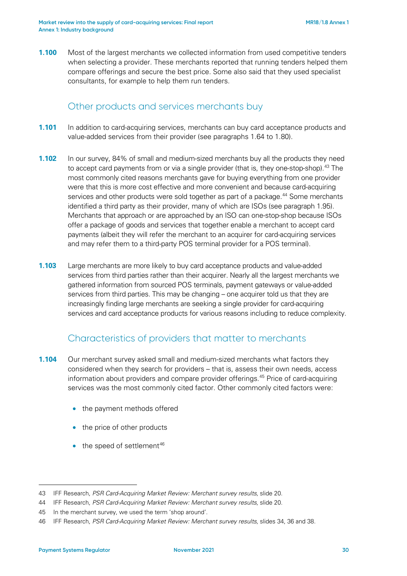**1.100** Most of the largest merchants we collected information from used competitive tenders when selecting a provider. These merchants reported that running tenders helped them compare offerings and secure the best price. Some also said that they used specialist consultants, for example to help them run tenders.

### Other products and services merchants buy

- **1.101** In addition to card-acquiring services, merchants can buy card acceptance products and value-added services from their provider (see paragraphs [1.64](#page-19-0) to [1.80\)](#page-22-1).
- **1.102** In our survey, 84% of small and medium-sized merchants buy all the products they need to accept card payments from or via a single provider (that is, they one-stop-shop).<sup>[43](#page-29-0)</sup> The most commonly cited reasons merchants gave for buying everything from one provider were that this is more cost effective and more convenient and because card-acquiring services and other products were sold together as part of a package.<sup>[44](#page-29-1)</sup> Some merchants identified a third party as their provider, many of which are ISOs (see paragraph [1.95\)](#page-28-3). Merchants that approach or are approached by an ISO can one-stop-shop because ISOs offer a package of goods and services that together enable a merchant to accept card payments (albeit they will refer the merchant to an acquirer for card-acquiring services and may refer them to a third-party POS terminal provider for a POS terminal).
- **1.103** Large merchants are more likely to buy card acceptance products and value-added services from third parties rather than their acquirer. Nearly all the largest merchants we gathered information from sourced POS terminals, payment gateways or value-added services from third parties. This may be changing – one acquirer told us that they are increasingly finding large merchants are seeking a single provider for card-acquiring services and card acceptance products for various reasons including to reduce complexity.

### Characteristics of providers that matter to merchants

- **1.104** Our merchant survey asked small and medium-sized merchants what factors they considered when they search for providers – that is, assess their own needs, access information about providers and compare provider offerings.[45](#page-29-2) Price of card-acquiring services was the most commonly cited factor. Other commonly cited factors were:
	- the payment methods offered
	- the price of other products
	- $\bullet$  the speed of settlement<sup>[46](#page-29-3)</sup>

<span id="page-29-0"></span><sup>43</sup> IFF Research, *PSR Card-Acquiring Market Review: Merchant survey results*, slide 20.

<span id="page-29-1"></span><sup>44</sup> IFF Research, *PSR Card-Acquiring Market Review: Merchant survey results*, slide 20.

<span id="page-29-2"></span><sup>45</sup> In the merchant survey, we used the term 'shop around'.

<span id="page-29-3"></span><sup>46</sup> IFF Research, *PSR Card-Acquiring Market Review: Merchant survey results*, slides 34, 36 and 38.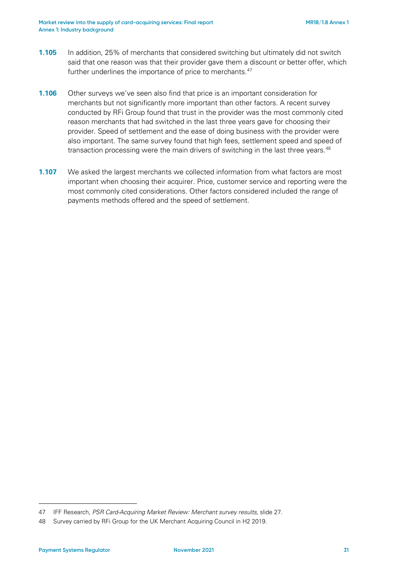- **1.105** In addition, 25% of merchants that considered switching but ultimately did not switch said that one reason was that their provider gave them a discount or better offer, which further underlines the importance of price to merchants.<sup>[47](#page-30-0)</sup>
- **1.106** Other surveys we've seen also find that price is an important consideration for merchants but not significantly more important than other factors. A recent survey conducted by RFi Group found that trust in the provider was the most commonly cited reason merchants that had switched in the last three years gave for choosing their provider. Speed of settlement and the ease of doing business with the provider were also important. The same survey found that high fees, settlement speed and speed of transaction processing were the main drivers of switching in the last three years.<sup>[48](#page-30-1)</sup>
- **1.107** We asked the largest merchants we collected information from what factors are most important when choosing their acquirer. Price, customer service and reporting were the most commonly cited considerations. Other factors considered included the range of payments methods offered and the speed of settlement.

<span id="page-30-0"></span><sup>47</sup> IFF Research, *PSR Card-Acquiring Market Review: Merchant survey results*, slide 27.

<span id="page-30-1"></span><sup>48</sup> Survey carried by RFi Group for the UK Merchant Acquiring Council in H2 2019.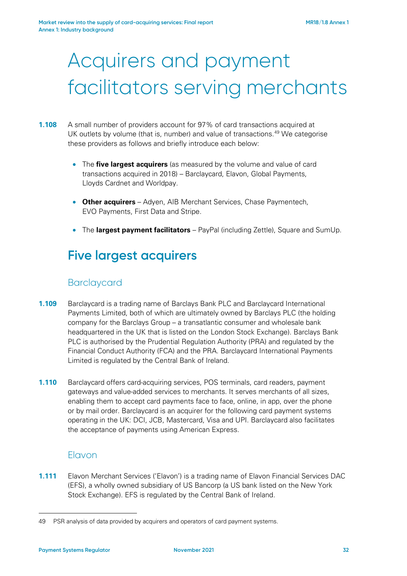# Acquirers and payment facilitators serving merchants

### **1.108** A small number of providers account for 97% of card transactions acquired at UK outlets by volume (that is, number) and value of transactions.<sup>[49](#page-31-1)</sup> We categorise these providers as follows and briefly introduce each below:

- The **five largest acquirers** (as measured by the volume and value of card transactions acquired in 2018) – Barclaycard, Elavon, Global Payments, Lloyds Cardnet and Worldpay.
- **Other acquirers** Adyen, AIB Merchant Services, Chase Paymentech, EVO Payments, First Data and Stripe.
- The **largest payment facilitators** PayPal (including Zettle), Square and SumUp.

## **Five largest acquirers**

### Barclaycard

- <span id="page-31-0"></span>**1.109** Barclaycard is a trading name of Barclays Bank PLC and Barclaycard International Payments Limited, both of which are ultimately owned by Barclays PLC (the holding company for the Barclays Group – a transatlantic consumer and wholesale bank headquartered in the UK that is listed on the London Stock Exchange). Barclays Bank PLC is authorised by the Prudential Regulation Authority (PRA) and regulated by the Financial Conduct Authority (FCA) and the PRA. Barclaycard International Payments Limited is regulated by the Central Bank of Ireland.
- **1.110** Barclaycard offers card-acquiring services, POS terminals, card readers, payment gateways and value-added services to merchants. It serves merchants of all sizes, enabling them to accept card payments face to face, online, in app, over the phone or by mail order. Barclaycard is an acquirer for the following card payment systems operating in the UK: DCI, JCB, Mastercard, Visa and UPI. Barclaycard also facilitates the acceptance of payments using American Express.

### Elavon

**1.111** Elavon Merchant Services ('Elavon') is a trading name of Elavon Financial Services DAC (EFS), a wholly owned subsidiary of US Bancorp (a US bank listed on the New York Stock Exchange). EFS is regulated by the Central Bank of Ireland.

<span id="page-31-1"></span><sup>49</sup> PSR analysis of data provided by acquirers and operators of card payment systems.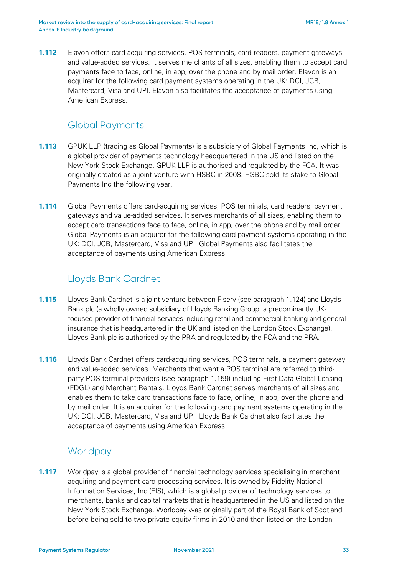**1.112** Elavon offers card-acquiring services, POS terminals, card readers, payment gateways and value-added services. It serves merchants of all sizes, enabling them to accept card payments face to face, online, in app, over the phone and by mail order. Elavon is an acquirer for the following card payment systems operating in the UK: DCI, JCB, Mastercard, Visa and UPI. Elavon also facilitates the acceptance of payments using American Express.

### Global Payments

- **1.113** GPUK LLP (trading as Global Payments) is a subsidiary of Global Payments Inc, which is a global provider of payments technology headquartered in the US and listed on the New York Stock Exchange. GPUK LLP is authorised and regulated by the FCA. It was originally created as a joint venture with HSBC in 2008. HSBC sold its stake to Global Payments Inc the following year.
- **1.114** Global Payments offers card-acquiring services, POS terminals, card readers, payment gateways and value-added services. It serves merchants of all sizes, enabling them to accept card transactions face to face, online, in app, over the phone and by mail order. Global Payments is an acquirer for the following card payment systems operating in the UK: DCI, JCB, Mastercard, Visa and UPI. Global Payments also facilitates the acceptance of payments using American Express.

### Lloyds Bank Cardnet

- <span id="page-32-0"></span>**1.115** Lloyds Bank Cardnet is a joint venture between Fiserv (see paragraph [1.124\)](#page-34-0) and Lloyds Bank plc (a wholly owned subsidiary of Lloyds Banking Group, a predominantly UKfocused provider of financial services including retail and commercial banking and general insurance that is headquartered in the UK and listed on the London Stock Exchange). Lloyds Bank plc is authorised by the PRA and regulated by the FCA and the PRA.
- **1.116** Lloyds Bank Cardnet offers card-acquiring services, POS terminals, a payment gateway and value-added services. Merchants that want a POS terminal are referred to thirdparty POS terminal providers (see paragraph [1.159\)](#page-41-0) including First Data Global Leasing (FDGL) and Merchant Rentals. Lloyds Bank Cardnet serves merchants of all sizes and enables them to take card transactions face to face, online, in app, over the phone and by mail order. It is an acquirer for the following card payment systems operating in the UK: DCI, JCB, Mastercard, Visa and UPI. Lloyds Bank Cardnet also facilitates the acceptance of payments using American Express.

### **Worldpay**

**1.117** Worldpay is a global provider of financial technology services specialising in merchant acquiring and payment card processing services. It is owned by Fidelity National Information Services, Inc (FIS), which is a global provider of technology services to merchants, banks and capital markets that is headquartered in the US and listed on the New York Stock Exchange. Worldpay was originally part of the Royal Bank of Scotland before being sold to two private equity firms in 2010 and then listed on the London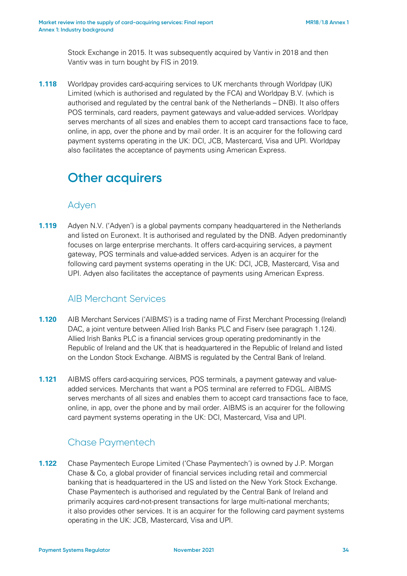Stock Exchange in 2015. It was subsequently acquired by Vantiv in 2018 and then Vantiv was in turn bought by FIS in 2019.

**1.118** Worldpay provides card-acquiring services to UK merchants through Worldpay (UK) Limited (which is authorised and regulated by the FCA) and Worldpay B.V. (which is authorised and regulated by the central bank of the Netherlands – DNB). It also offers POS terminals, card readers, payment gateways and value-added services. Worldpay serves merchants of all sizes and enables them to accept card transactions face to face, online, in app, over the phone and by mail order. It is an acquirer for the following card payment systems operating in the UK: DCI, JCB, Mastercard, Visa and UPI. Worldpay also facilitates the acceptance of payments using American Express.

## **Other acquirers**

### Adyen

**1.119** Adyen N.V. ('Adyen') is a global payments company headquartered in the Netherlands and listed on Euronext. It is authorised and regulated by the DNB. Adyen predominantly focuses on large enterprise merchants. It offers card-acquiring services, a payment gateway, POS terminals and value-added services. Adyen is an acquirer for the following card payment systems operating in the UK: DCI, JCB, Mastercard, Visa and UPI. Adyen also facilitates the acceptance of payments using American Express.

### AIB Merchant Services

- **1.120** AIB Merchant Services ('AIBMS') is a trading name of First Merchant Processing (Ireland) DAC, a joint venture between Allied Irish Banks PLC and Fiserv (see paragraph [1.124\)](#page-34-0). Allied Irish Banks PLC is a financial services group operating predominantly in the Republic of Ireland and the UK that is headquartered in the Republic of Ireland and listed on the London Stock Exchange. AIBMS is regulated by the Central Bank of Ireland.
- **1.121** AIBMS offers card-acquiring services, POS terminals, a payment gateway and valueadded services. Merchants that want a POS terminal are referred to FDGL. AIBMS serves merchants of all sizes and enables them to accept card transactions face to face, online, in app, over the phone and by mail order. AIBMS is an acquirer for the following card payment systems operating in the UK: DCI, Mastercard, Visa and UPI.

### Chase Paymentech

**1.122** Chase Paymentech Europe Limited ('Chase Paymentech') is owned by J.P. Morgan Chase & Co, a global provider of financial services including retail and commercial banking that is headquartered in the US and listed on the New York Stock Exchange. Chase Paymentech is authorised and regulated by the Central Bank of Ireland and primarily acquires card-not-present transactions for large multi-national merchants; it also provides other services. It is an acquirer for the following card payment systems operating in the UK: JCB, Mastercard, Visa and UPI.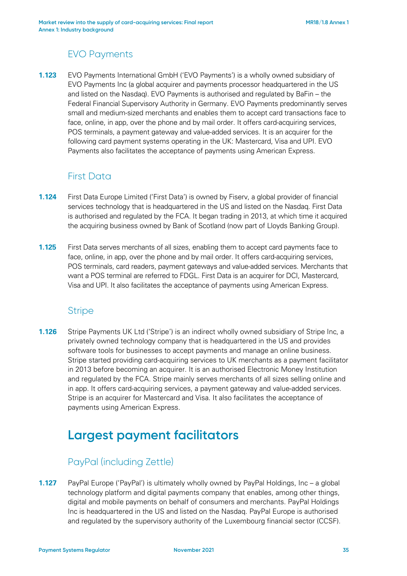### EVO Payments

**1.123** EVO Payments International GmbH ('EVO Payments') is a wholly owned subsidiary of EVO Payments Inc (a global acquirer and payments processor headquartered in the US and listed on the Nasdaq). EVO Payments is authorised and regulated by BaFin – the Federal Financial Supervisory Authority in Germany. EVO Payments predominantly serves small and medium-sized merchants and enables them to accept card transactions face to face, online, in app, over the phone and by mail order. It offers card-acquiring services, POS terminals, a payment gateway and value-added services. It is an acquirer for the following card payment systems operating in the UK: Mastercard, Visa and UPI. EVO Payments also facilitates the acceptance of payments using American Express.

### First Data

- <span id="page-34-0"></span>**1.124** First Data Europe Limited ('First Data') is owned by Fiserv, a global provider of financial services technology that is headquartered in the US and listed on the Nasdaq. First Data is authorised and regulated by the FCA. It began trading in 2013, at which time it acquired the acquiring business owned by Bank of Scotland (now part of Lloyds Banking Group).
- **1.125** First Data serves merchants of all sizes, enabling them to accept card payments face to face, online, in app, over the phone and by mail order. It offers card-acquiring services, POS terminals, card readers, payment gateways and value-added services. Merchants that want a POS terminal are referred to FDGL. First Data is an acquirer for DCI, Mastercard, Visa and UPI. It also facilitates the acceptance of payments using American Express.

### **Stripe**

**1.126** Stripe Payments UK Ltd ('Stripe') is an indirect wholly owned subsidiary of Stripe Inc, a privately owned technology company that is headquartered in the US and provides software tools for businesses to accept payments and manage an online business. Stripe started providing card-acquiring services to UK merchants as a payment facilitator in 2013 before becoming an acquirer. It is an authorised Electronic Money Institution and regulated by the FCA. Stripe mainly serves merchants of all sizes selling online and in app. It offers card-acquiring services, a payment gateway and value-added services. Stripe is an acquirer for Mastercard and Visa. It also facilitates the acceptance of payments using American Express.

## **Largest payment facilitators**

### PayPal (including Zettle)

**1.127** PayPal Europe ('PayPal') is ultimately wholly owned by PayPal Holdings, Inc – a global technology platform and digital payments company that enables, among other things, digital and mobile payments on behalf of consumers and merchants. PayPal Holdings Inc is headquartered in the US and listed on the Nasdaq. PayPal Europe is authorised and regulated by the supervisory authority of the Luxembourg financial sector (CCSF).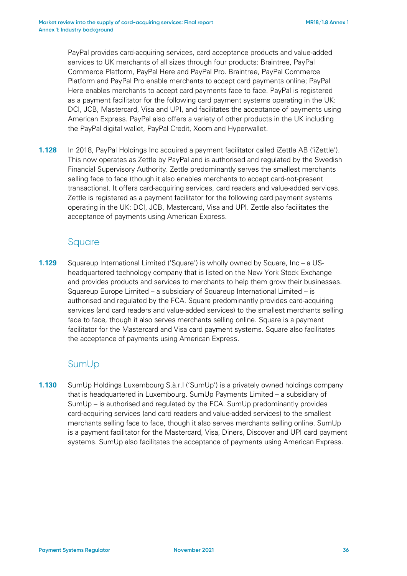PayPal provides card-acquiring services, card acceptance products and value-added services to UK merchants of all sizes through four products: Braintree, PayPal Commerce Platform, PayPal Here and PayPal Pro. Braintree, PayPal Commerce Platform and PayPal Pro enable merchants to accept card payments online; PayPal Here enables merchants to accept card payments face to face. PayPal is registered as a payment facilitator for the following card payment systems operating in the UK: DCI, JCB, Mastercard, Visa and UPI, and facilitates the acceptance of payments using American Express. PayPal also offers a variety of other products in the UK including the PayPal digital wallet, PayPal Credit, Xoom and Hyperwallet.

**1.128** In 2018, PayPal Holdings Inc acquired a payment facilitator called iZettle AB ('iZettle'). This now operates as Zettle by PayPal and is authorised and regulated by the Swedish Financial Supervisory Authority. Zettle predominantly serves the smallest merchants selling face to face (though it also enables merchants to accept card-not-present transactions). It offers card-acquiring services, card readers and value-added services. Zettle is registered as a payment facilitator for the following card payment systems operating in the UK: DCI, JCB, Mastercard, Visa and UPI. Zettle also facilitates the acceptance of payments using American Express.

### Square

**1.129** Squareup International Limited ('Square') is wholly owned by Square, Inc – a USheadquartered technology company that is listed on the New York Stock Exchange and provides products and services to merchants to help them grow their businesses. Squareup Europe Limited – a subsidiary of Squareup International Limited – is authorised and regulated by the FCA. Square predominantly provides card-acquiring services (and card readers and value-added services) to the smallest merchants selling face to face, though it also serves merchants selling online. Square is a payment facilitator for the Mastercard and Visa card payment systems. Square also facilitates the acceptance of payments using American Express.

### SumUp

**1.130** SumUp Holdings Luxembourg S.à.r.l ('SumUp') is a privately owned holdings company that is headquartered in Luxembourg. SumUp Payments Limited – a subsidiary of SumUp – is authorised and regulated by the FCA. SumUp predominantly provides card-acquiring services (and card readers and value-added services) to the smallest merchants selling face to face, though it also serves merchants selling online. SumUp is a payment facilitator for the Mastercard, Visa, Diners, Discover and UPI card payment systems. SumUp also facilitates the acceptance of payments using American Express.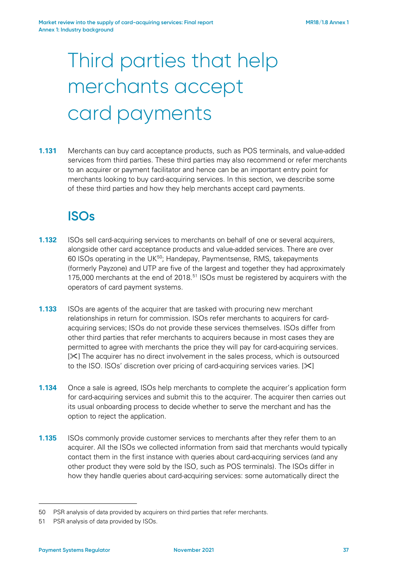# Third parties that help merchants accept card payments

**1.131** Merchants can buy card acceptance products, such as POS terminals, and value-added services from third parties. These third parties may also recommend or refer merchants to an acquirer or payment facilitator and hence can be an important entry point for merchants looking to buy card-acquiring services. In this section, we describe some of these third parties and how they help merchants accept card payments.

# **ISOs**

- <span id="page-36-2"></span>**1.132** ISOs sell card-acquiring services to merchants on behalf of one or several acquirers, alongside other card acceptance products and value-added services. There are over 60 ISOs operating in the UK[50](#page-36-0); Handepay, Paymentsense, RMS, takepayments (formerly Payzone) and UTP are five of the largest and together they had approximately 175,000 merchants at the end of 2018.<sup>[51](#page-36-1)</sup> ISOs must be registered by acquirers with the operators of card payment systems.
- <span id="page-36-3"></span>**1.133** ISOs are agents of the acquirer that are tasked with procuring new merchant relationships in return for commission. ISOs refer merchants to acquirers for cardacquiring services; ISOs do not provide these services themselves. ISOs differ from other third parties that refer merchants to acquirers because in most cases they are permitted to agree with merchants the price they will pay for card-acquiring services.  $[\mathcal{X}]$  The acquirer has no direct involvement in the sales process, which is outsourced to the ISO. ISOs' discretion over pricing of card-acquiring services varies.  $[\mathcal{X}]$
- **1.134** Once a sale is agreed, ISOs help merchants to complete the acquirer's application form for card-acquiring services and submit this to the acquirer. The acquirer then carries out its usual onboarding process to decide whether to serve the merchant and has the option to reject the application.
- **1.135** ISOs commonly provide customer services to merchants after they refer them to an acquirer. All the ISOs we collected information from said that merchants would typically contact them in the first instance with queries about card-acquiring services (and any other product they were sold by the ISO, such as POS terminals). The ISOs differ in how they handle queries about card-acquiring services: some automatically direct the

<span id="page-36-0"></span><sup>50</sup> PSR analysis of data provided by acquirers on third parties that refer merchants.

<span id="page-36-1"></span><sup>51</sup> PSR analysis of data provided by ISOs.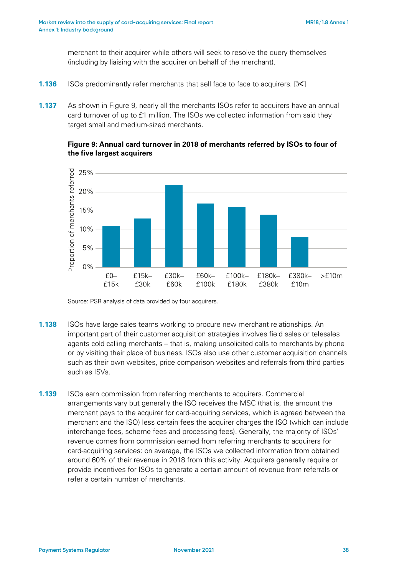merchant to their acquirer while others will seek to resolve the query themselves (including by liaising with the acquirer on behalf of the merchant).

- <span id="page-37-1"></span>**1.136** ISOs predominantly refer merchants that sell face to face to acquirers. [ $\blacktriangleright$ ]
- **1.137** As shown in [Figure 9,](#page-37-0) nearly all the merchants ISOs refer to acquirers have an annual card turnover of up to £1 million. The ISOs we collected information from said they target small and medium-sized merchants.

#### <span id="page-37-0"></span>**Figure 9: Annual card turnover in 2018 of merchants referred by ISOs to four of the five largest acquirers**



Source: PSR analysis of data provided by four acquirers.

- **1.138** ISOs have large sales teams working to procure new merchant relationships. An important part of their customer acquisition strategies involves field sales or telesales agents cold calling merchants – that is, making unsolicited calls to merchants by phone or by visiting their place of business. ISOs also use other customer acquisition channels such as their own websites, price comparison websites and referrals from third parties such as ISVs.
- **1.139** ISOs earn commission from referring merchants to acquirers. Commercial arrangements vary but generally the ISO receives the MSC (that is, the amount the merchant pays to the acquirer for card-acquiring services, which is agreed between the merchant and the ISO) less certain fees the acquirer charges the ISO (which can include interchange fees, scheme fees and processing fees). Generally, the majority of ISOs' revenue comes from commission earned from referring merchants to acquirers for card-acquiring services: on average, the ISOs we collected information from obtained around 60% of their revenue in 2018 from this activity. Acquirers generally require or provide incentives for ISOs to generate a certain amount of revenue from referrals or refer a certain number of merchants.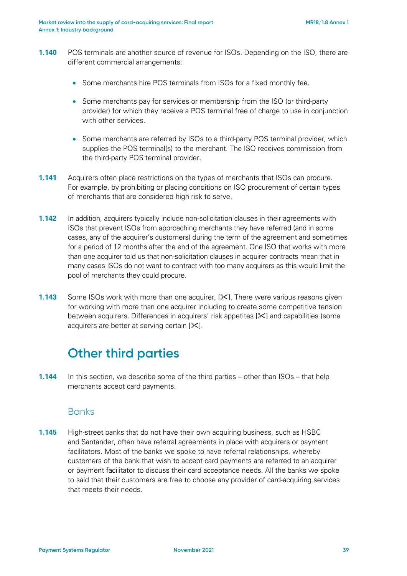- **1.140** POS terminals are another source of revenue for ISOs. Depending on the ISO, there are different commercial arrangements:
	- Some merchants hire POS terminals from ISOs for a fixed monthly fee.
	- Some merchants pay for services or membership from the ISO (or third-party provider) for which they receive a POS terminal free of charge to use in conjunction with other services.
	- Some merchants are referred by ISOs to a third-party POS terminal provider, which supplies the POS terminal(s) to the merchant. The ISO receives commission from the third-party POS terminal provider.
- **1.141** Acquirers often place restrictions on the types of merchants that ISOs can procure. For example, by prohibiting or placing conditions on ISO procurement of certain types of merchants that are considered high risk to serve.
- **1.142** In addition, acquirers typically include non-solicitation clauses in their agreements with ISOs that prevent ISOs from approaching merchants they have referred (and in some cases, any of the acquirer's customers) during the term of the agreement and sometimes for a period of 12 months after the end of the agreement. One ISO that works with more than one acquirer told us that non-solicitation clauses in acquirer contracts mean that in many cases ISOs do not want to contract with too many acquirers as this would limit the pool of merchants they could procure.
- **1.143** Some ISOs work with more than one acquirer,  $[\times]$ . There were various reasons given for working with more than one acquirer including to create some competitive tension between acquirers. Differences in acquirers' risk appetites [ $\le$ ] and capabilities (some acquirers are better at serving certain  $[\times]$ .

# **Other third parties**

**1.144** In this section, we describe some of the third parties – other than ISOs – that help merchants accept card payments.

#### **Banks**

**1.145** High-street banks that do not have their own acquiring business, such as HSBC and Santander, often have referral agreements in place with acquirers or payment facilitators. Most of the banks we spoke to have referral relationships, whereby customers of the bank that wish to accept card payments are referred to an acquirer or payment facilitator to discuss their card acceptance needs. All the banks we spoke to said that their customers are free to choose any provider of card-acquiring services that meets their needs.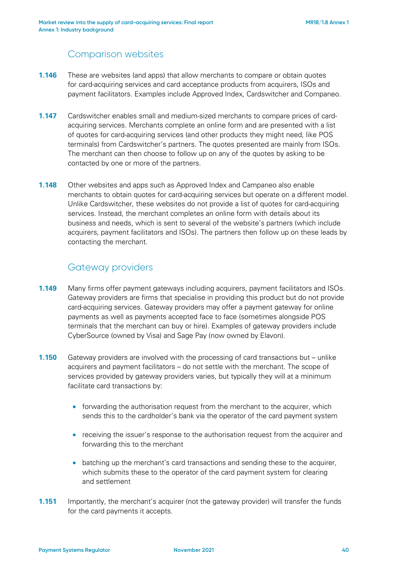# Comparison websites

- **1.146** These are websites (and apps) that allow merchants to compare or obtain quotes for card-acquiring services and card acceptance products from acquirers, ISOs and payment facilitators. Examples include Approved Index, Cardswitcher and Companeo.
- **1.147** Cardswitcher enables small and medium-sized merchants to compare prices of cardacquiring services. Merchants complete an online form and are presented with a list of quotes for card-acquiring services (and other products they might need, like POS terminals) from Cardswitcher's partners. The quotes presented are mainly from ISOs. The merchant can then choose to follow up on any of the quotes by asking to be contacted by one or more of the partners.
- **1.148** Other websites and apps such as Approved Index and Campaneo also enable merchants to obtain quotes for card-acquiring services but operate on a different model. Unlike Cardswitcher, these websites do not provide a list of quotes for card-acquiring services. Instead, the merchant completes an online form with details about its business and needs, which is sent to several of the website's partners (which include acquirers, payment facilitators and ISOs). The partners then follow up on these leads by contacting the merchant.

# Gateway providers

- **1.149** Many firms offer payment gateways including acquirers, payment facilitators and ISOs. Gateway providers are firms that specialise in providing this product but do not provide card-acquiring services. Gateway providers may offer a payment gateway for online payments as well as payments accepted face to face (sometimes alongside POS terminals that the merchant can buy or hire). Examples of gateway providers include CyberSource (owned by Visa) and Sage Pay (now owned by Elavon).
- **1.150** Gateway providers are involved with the processing of card transactions but unlike acquirers and payment facilitators – do not settle with the merchant. The scope of services provided by gateway providers varies, but typically they will at a minimum facilitate card transactions by:
	- forwarding the authorisation request from the merchant to the acquirer, which sends this to the cardholder's bank via the operator of the card payment system
	- receiving the issuer's response to the authorisation request from the acquirer and forwarding this to the merchant
	- batching up the merchant's card transactions and sending these to the acquirer, which submits these to the operator of the card payment system for clearing and settlement
- **1.151** Importantly, the merchant's acquirer (not the gateway provider) will transfer the funds for the card payments it accepts.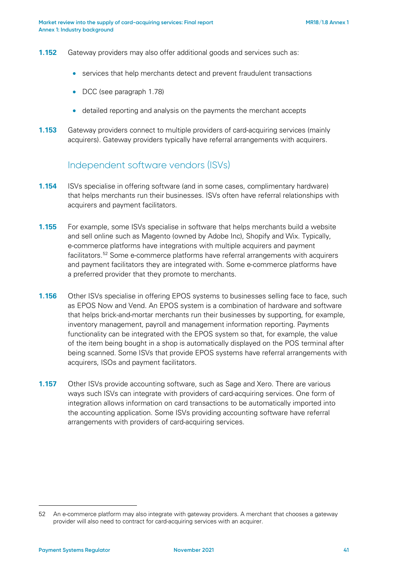- **1.152** Gateway providers may also offer additional goods and services such as:
	- services that help merchants detect and prevent fraudulent transactions
	- DCC (see paragraph [1.78\)](#page-21-0)
	- detailed reporting and analysis on the payments the merchant accepts
- **1.153** Gateway providers connect to multiple providers of card-acquiring services (mainly acquirers). Gateway providers typically have referral arrangements with acquirers.

# Independent software vendors (ISVs)

- **1.154** ISVs specialise in offering software (and in some cases, complimentary hardware) that helps merchants run their businesses. ISVs often have referral relationships with acquirers and payment facilitators.
- **1.155** For example, some ISVs specialise in software that helps merchants build a website and sell online such as Magento (owned by Adobe Inc), Shopify and Wix. Typically, e-commerce platforms have integrations with multiple acquirers and payment facilitators[.52](#page-40-0) Some e-commerce platforms have referral arrangements with acquirers and payment facilitators they are integrated with. Some e-commerce platforms have a preferred provider that they promote to merchants.
- **1.156** Other ISVs specialise in offering EPOS systems to businesses selling face to face, such as EPOS Now and Vend. An EPOS system is a combination of hardware and software that helps brick-and-mortar merchants run their businesses by supporting, for example, inventory management, payroll and management information reporting. Payments functionality can be integrated with the EPOS system so that, for example, the value of the item being bought in a shop is automatically displayed on the POS terminal after being scanned. Some ISVs that provide EPOS systems have referral arrangements with acquirers, ISOs and payment facilitators.
- **1.157** Other ISVs provide accounting software, such as Sage and Xero. There are various ways such ISVs can integrate with providers of card-acquiring services. One form of integration allows information on card transactions to be automatically imported into the accounting application. Some ISVs providing accounting software have referral arrangements with providers of card-acquiring services.

<span id="page-40-0"></span><sup>52</sup> An e-commerce platform may also integrate with gateway providers. A merchant that chooses a gateway provider will also need to contract for card-acquiring services with an acquirer.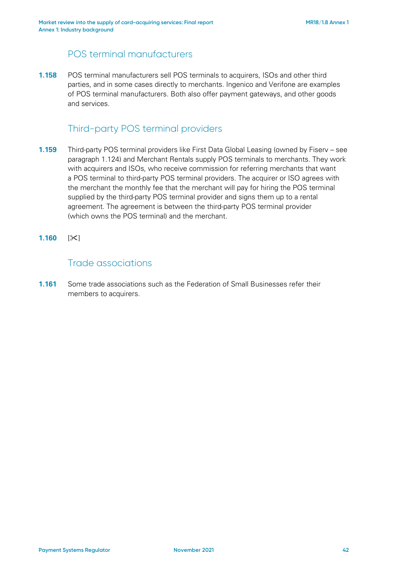# POS terminal manufacturers

**1.158** POS terminal manufacturers sell POS terminals to acquirers, ISOs and other third parties, and in some cases directly to merchants. Ingenico and Verifone are examples of POS terminal manufacturers. Both also offer payment gateways, and other goods and services.

# Third-party POS terminal providers

- **1.159** Third-party POS terminal providers like First Data Global Leasing (owned by Fiserv see paragraph [1.124\)](#page-34-0) and Merchant Rentals supply POS terminals to merchants. They work with acquirers and ISOs, who receive commission for referring merchants that want a POS terminal to third-party POS terminal providers. The acquirer or ISO agrees with the merchant the monthly fee that the merchant will pay for hiring the POS terminal supplied by the third-party POS terminal provider and signs them up to a rental agreement. The agreement is between the third-party POS terminal provider (which owns the POS terminal) and the merchant.
- **1.160** [ $\angle$ ]

### Trade associations

**1.161** Some trade associations such as the Federation of Small Businesses refer their members to acquirers.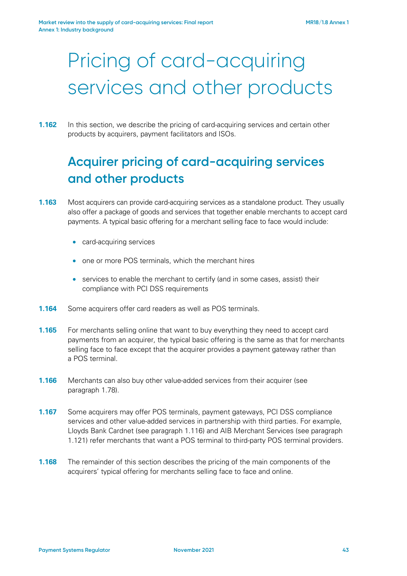# Pricing of card-acquiring services and other products

#### **1.162** In this section, we describe the pricing of card-acquiring services and certain other products by acquirers, payment facilitators and ISOs.

# **Acquirer pricing of card-acquiring services and other products**

- **1.163** Most acquirers can provide card-acquiring services as a standalone product. They usually also offer a package of goods and services that together enable merchants to accept card payments. A typical basic offering for a merchant selling face to face would include:
	- card-acquiring services
	- one or more POS terminals, which the merchant hires
	- services to enable the merchant to certify (and in some cases, assist) their compliance with PCI DSS requirements
- **1.164** Some acquirers offer card readers as well as POS terminals.
- **1.165** For merchants selling online that want to buy everything they need to accept card payments from an acquirer, the typical basic offering is the same as that for merchants selling face to face except that the acquirer provides a payment gateway rather than a POS terminal.
- **1.166** Merchants can also buy other value-added services from their acquirer (see paragraph [1.78\)](#page-21-0).
- **1.167** Some acquirers may offer POS terminals, payment gateways, PCI DSS compliance services and other value-added services in partnership with third parties. For example, Lloyds Bank Cardnet (see paragraph [1.116\)](#page-32-0) and AIB Merchant Services (see paragraph [1.121\)](#page-33-0) refer merchants that want a POS terminal to third-party POS terminal providers.
- **1.168** The remainder of this section describes the pricing of the main components of the acquirers' typical offering for merchants selling face to face and online.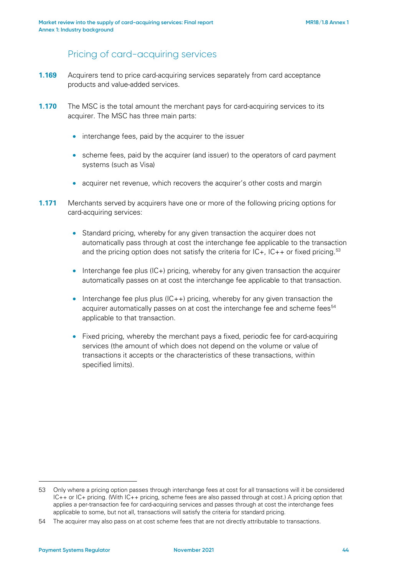# Pricing of card-acquiring services

- **1.169** Acquirers tend to price card-acquiring services separately from card acceptance products and value-added services.
- **1.170** The MSC is the total amount the merchant pays for card-acquiring services to its acquirer. The MSC has three main parts:
	- interchange fees, paid by the acquirer to the issuer
	- scheme fees, paid by the acquirer (and issuer) to the operators of card payment systems (such as Visa)
	- acquirer net revenue, which recovers the acquirer's other costs and margin
- **1.171** Merchants served by acquirers have one or more of the following pricing options for card-acquiring services:
	- Standard pricing, whereby for any given transaction the acquirer does not automatically pass through at cost the interchange fee applicable to the transaction and the pricing option does not satisfy the criteria for  $IC_+$ ,  $IC_{++}$  or fixed pricing.<sup>[53](#page-43-0)</sup>
	- Interchange fee plus (IC+) pricing, whereby for any given transaction the acquirer automatically passes on at cost the interchange fee applicable to that transaction.
	- Interchange fee plus plus  $I(C++)$  pricing, whereby for any given transaction the acquirer automatically passes on at cost the interchange fee and scheme fees<sup>[54](#page-43-1)</sup> applicable to that transaction.
	- Fixed pricing, whereby the merchant pays a fixed, periodic fee for card-acquiring services (the amount of which does not depend on the volume or value of transactions it accepts or the characteristics of these transactions, within specified limits).

<span id="page-43-0"></span><sup>53</sup> Only where a pricing option passes through interchange fees at cost for all transactions will it be considered IC++ or IC+ pricing. (With IC++ pricing, scheme fees are also passed through at cost.) A pricing option that applies a per-transaction fee for card-acquiring services and passes through at cost the interchange fees applicable to some, but not all, transactions will satisfy the criteria for standard pricing.

<span id="page-43-1"></span><sup>54</sup> The acquirer may also pass on at cost scheme fees that are not directly attributable to transactions.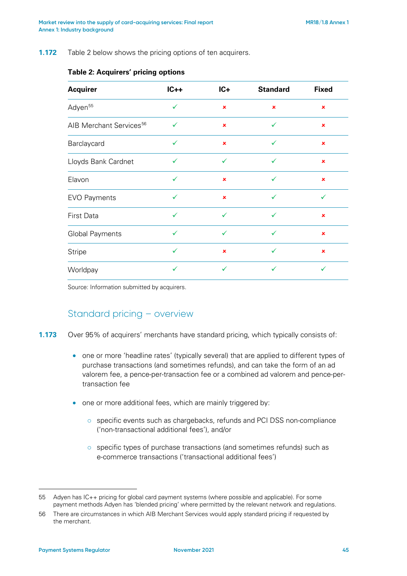<span id="page-44-0"></span>**1.172** [Table 2](#page-44-0) below shows the pricing options of ten acquirers.

| <b>Acquirer</b>                     | $IC++$       | $IC+$          | <b>Standard</b> | <b>Fixed</b>   |
|-------------------------------------|--------------|----------------|-----------------|----------------|
| Adyen <sup>55</sup>                 | $\checkmark$ | ×              | $\pmb{\times}$  | ×              |
| AIB Merchant Services <sup>56</sup> | ✓            | $\pmb{\times}$ | ✓               | $\pmb{\times}$ |
| Barclaycard                         | $\checkmark$ | $\pmb{\times}$ | $\checkmark$    | $\pmb{\times}$ |
| Lloyds Bank Cardnet                 | $\checkmark$ | $\checkmark$   | $\checkmark$    | $\pmb{\times}$ |
| Elavon                              | ✓            | $\pmb{\times}$ | $\checkmark$    | $\pmb{\times}$ |
| <b>EVO Payments</b>                 | ✓            | ×              | $\checkmark$    | ✓              |
| <b>First Data</b>                   | ✓            | ✓              | $\checkmark$    | ×              |
| <b>Global Payments</b>              | ✓            | $\checkmark$   | $\checkmark$    | $\pmb{\times}$ |
| <b>Stripe</b>                       | ✓            | $\pmb{\times}$ | $\checkmark$    | $\pmb{\times}$ |
| Worldpay                            | $\checkmark$ | $\checkmark$   | $\checkmark$    | ✓              |

#### **Table 2: Acquirers' pricing options**

Source: Information submitted by acquirers.

# Standard pricing – overview

<span id="page-44-3"></span>**1.173** Over 95% of acquirers' merchants have standard pricing, which typically consists of:

- one or more 'headline rates' (typically several) that are applied to different types of purchase transactions (and sometimes refunds), and can take the form of an ad valorem fee, a pence-per-transaction fee or a combined ad valorem and pence-pertransaction fee
- one or more additional fees, which are mainly triggered by:
	- o specific events such as chargebacks, refunds and PCI DSS non-compliance ('non-transactional additional fees'), and/or
	- o specific types of purchase transactions (and sometimes refunds) such as e-commerce transactions ('transactional additional fees')

<span id="page-44-1"></span><sup>55</sup> Adyen has IC++ pricing for global card payment systems (where possible and applicable). For some payment methods Adyen has 'blended pricing' where permitted by the relevant network and regulations.

<span id="page-44-2"></span><sup>56</sup> There are circumstances in which AIB Merchant Services would apply standard pricing if requested by the merchant.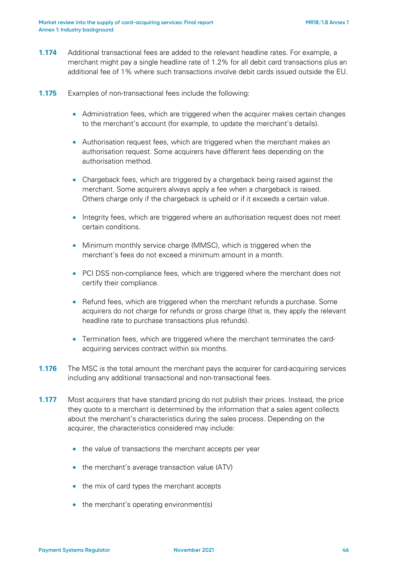- <span id="page-45-0"></span>**1.174** Additional transactional fees are added to the relevant headline rates. For example, a merchant might pay a single headline rate of 1.2% for all debit card transactions plus an additional fee of 1% where such transactions involve debit cards issued outside the EU.
- **1.175** Examples of non-transactional fees include the following:
	- Administration fees, which are triggered when the acquirer makes certain changes to the merchant's account (for example, to update the merchant's details).
	- Authorisation request fees, which are triggered when the merchant makes an authorisation request. Some acquirers have different fees depending on the authorisation method.
	- Chargeback fees, which are triggered by a chargeback being raised against the merchant. Some acquirers always apply a fee when a chargeback is raised. Others charge only if the chargeback is upheld or if it exceeds a certain value.
	- Integrity fees, which are triggered where an authorisation request does not meet certain conditions.
	- Minimum monthly service charge (MMSC), which is triggered when the merchant's fees do not exceed a minimum amount in a month.
	- PCI DSS non-compliance fees, which are triggered where the merchant does not certify their compliance.
	- Refund fees, which are triggered when the merchant refunds a purchase. Some acquirers do not charge for refunds or gross charge (that is, they apply the relevant headline rate to purchase transactions plus refunds).
	- Termination fees, which are triggered where the merchant terminates the cardacquiring services contract within six months.
- <span id="page-45-1"></span>**1.176** The MSC is the total amount the merchant pays the acquirer for card-acquiring services including any additional transactional and non-transactional fees.
- **1.177** Most acquirers that have standard pricing do not publish their prices. Instead, the price they quote to a merchant is determined by the information that a sales agent collects about the merchant's characteristics during the sales process. Depending on the acquirer, the characteristics considered may include:
	- the value of transactions the merchant accepts per year
	- the merchant's average transaction value (ATV)
	- the mix of card types the merchant accepts
	- the merchant's operating environment(s)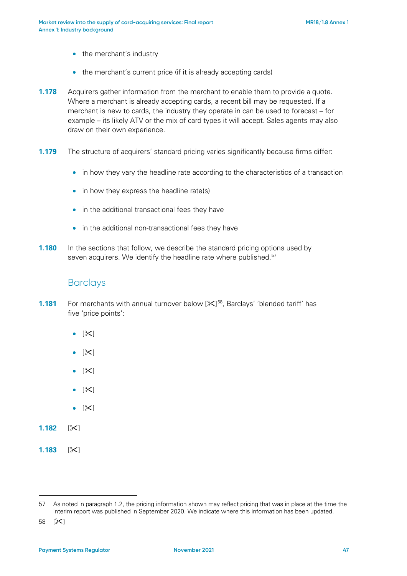- the merchant's industry
- the merchant's current price (if it is already accepting cards)
- <span id="page-46-2"></span>**1.178** Acquirers gather information from the merchant to enable them to provide a quote. Where a merchant is already accepting cards, a recent bill may be requested. If a merchant is new to cards, the industry they operate in can be used to forecast – for example – its likely ATV or the mix of card types it will accept. Sales agents may also draw on their own experience.
- **1.179** The structure of acquirers' standard pricing varies significantly because firms differ:
	- in how they vary the headline rate according to the characteristics of a transaction
	- in how they express the headline rate(s)
	- in the additional transactional fees they have
	- in the additional non-transactional fees they have
- **1.180** In the sections that follow, we describe the standard pricing options used by seven acquirers. We identify the headline rate where published.<sup>[57](#page-46-0)</sup>

#### **Barclays**

- **1.181** For merchants with annual turnover below [ $\mathbb{X}$ ]<sup>58</sup>, Barclays' 'blended tariff' has five 'price points':
	- $\bullet$  [ $\times$ ]
	- $|\mathsf{X}|$
	- $\bullet$  [ $\times$ ]
	- $[\times]$
	- $|\mathsf{X}|$
- **1.182**  $|\times|$
- **1.183** [ $\times$ ]

<span id="page-46-0"></span><sup>57</sup> As noted in paragraph 1.2, the pricing information shown may reflect pricing that was in place at the time the interim report was published in September 2020. We indicate where this information has been updated.

<span id="page-46-1"></span><sup>58 [</sup> $\mathsf{X}$ ]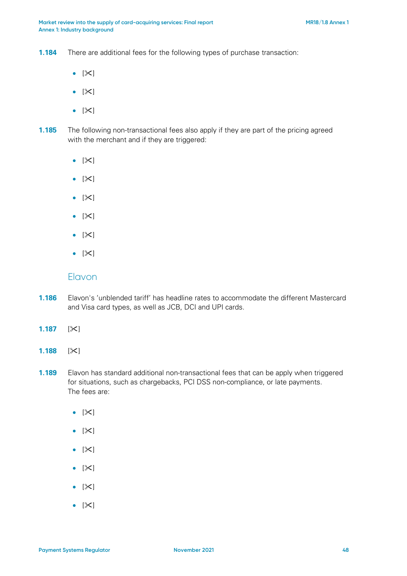**1.184** There are additional fees for the following types of purchase transaction:

- $[\mathbb{X}]$
- $|\mathsf{X}|$
- $[\mathbb{X}]$
- **1.185** The following non-transactional fees also apply if they are part of the pricing agreed with the merchant and if they are triggered:
	- $[\mathbb{X}]$
	- $|\mathsf{X}|$
	- $|\mathsf{X}|$
	- $[\mathbb{X}]$
	- $[\mathbb{X}]$
	- $|\mathsf{X}|$

#### Elavon

- **1.186** Elavon's 'unblended tariff' has headline rates to accommodate the different Mastercard and Visa card types, as well as JCB, DCI and UPI cards.
- **1.187**  $|\times|$
- **1.188**  $|\times|$
- **1.189** Elavon has standard additional non-transactional fees that can be apply when triggered for situations, such as chargebacks, PCI DSS non-compliance, or late payments. The fees are:
	- $[\mathbb{X}]$
	- $|\mathsf{X}|$
	- $|\mathsf{X}|$
	- $\bullet$  [ $\times$ ]
	- $|\mathsf{X}|$
	- $|\mathsf{X}|$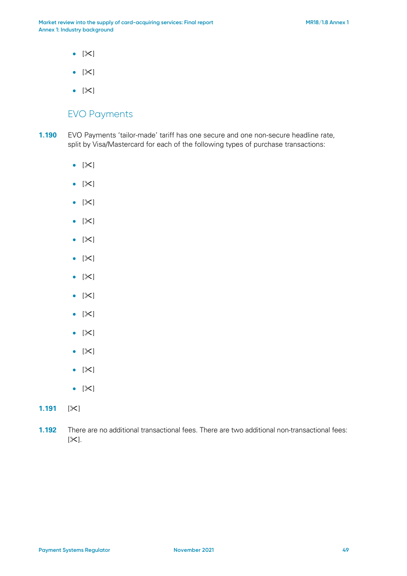- $[\mathbb{X}]$
- $[\mathbb{X}]$
- $[\times]$

# EVO Payments

- **1.190** EVO Payments 'tailor-made' tariff has one secure and one non-secure headline rate, split by Visa/Mastercard for each of the following types of purchase transactions:
	- $[\mathbb{X}]$
	- $|\mathsf{X}|$
	- $[\mathbb{X}]$
	- $|\mathsf{X}|$
	- $|\mathsf{X}|$
	- $[\mathbb{X}]$
	- $[\mathbb{X}]$
	- $[\mathbb{X}]$
	- $[\mathbb{X}]$
	- $[\mathbb{X}]$
	- $[\mathbb{X}]$
	- $[\mathbb{X}]$
	- $[\mathbb{X}]$
- **1.191**  $|\times|$
- **1.192** There are no additional transactional fees. There are two additional non-transactional fees:  $[\infty]$ .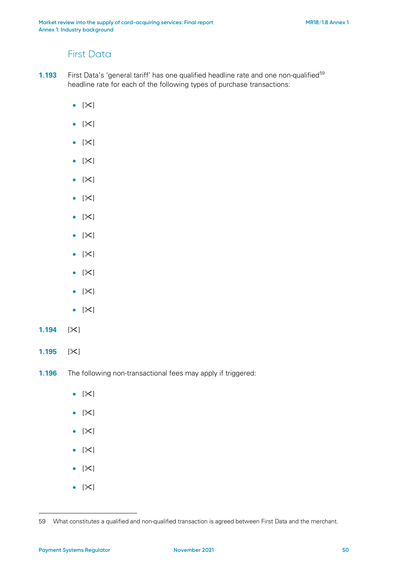# First Data

- **1.193** First Data's 'general tariff' has one qualified headline rate and one non-qualified<sup>[59](#page-49-0)</sup> headline rate for each of the following types of purchase transactions:
	- $[\mathbb{X}]$
	- $[\times]$
	- $[\mathbb{X}]$
	- $|\mathsf{X}|$
	- $[\mathbb{X}]$
	- $[\mathbb{X}]$
	- $[\mathbb{X}]$
	- $[\mathbb{X}]$
	- $[\mathbb{X}]$
	- $[\mathbb{X}]$
	- $[\mathbb{X}]$
	- $[\mathbb{X}]$
- **1.194**  $[\times]$
- **1.195**  $|\times|$
- **1.196** The following non-transactional fees may apply if triggered:
	- $|\mathsf{X}|$
	- $[\mathbb{X}]$
	- $[\mathbb{X}]$
	- $[\mathbb{X}]$
	- $\bullet$  [ $\times$ ]
	- $[\mathbb{X}]$

<span id="page-49-0"></span><sup>59</sup> What constitutes a qualified and non-qualified transaction is agreed between First Data and the merchant.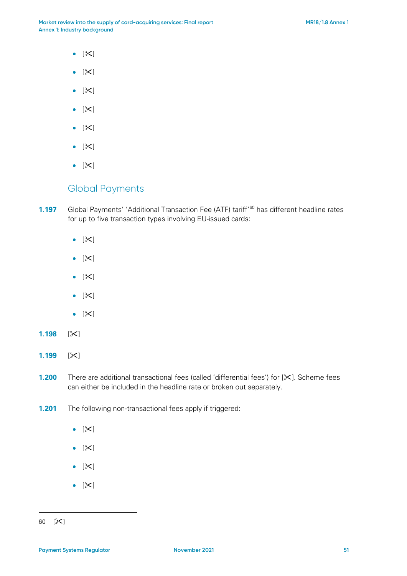- $|\mathsf{X}|$
- $[\mathbb{X}]$
- $[\mathbb{X}]$
- $[\mathbb{X}]$
- $[\mathbb{X}]$
- $|\mathsf{X}|$
- $|\mathsf{X}|$

### Global Payments

**1.197** Global Payments' 'Additional Transaction Fee (ATF) tariff<sup>'[60](#page-50-0)</sup> has different headline rates for up to five transaction types involving EU-issued cards:

- $|\mathsf{X}|$
- $[\mathbb{X}]$
- $[\mathbb{X}]$
- $[\mathbb{X}]$
- $[\mathbb{X}]$
- **1.198**  $|\times|$
- **1.199**  $|\times|$
- **1.200** There are additional transactional fees (called 'differential fees') for [ $\angle$ ]. Scheme fees can either be included in the headline rate or broken out separately.
- **1.201** The following non-transactional fees apply if triggered:
	- $[\mathbb{X}]$
	- $|\mathsf{X}|$
	- $[\mathbb{X}]$
	- $|\mathsf{X}|$

<span id="page-50-0"></span><sup>60</sup>  $[3]$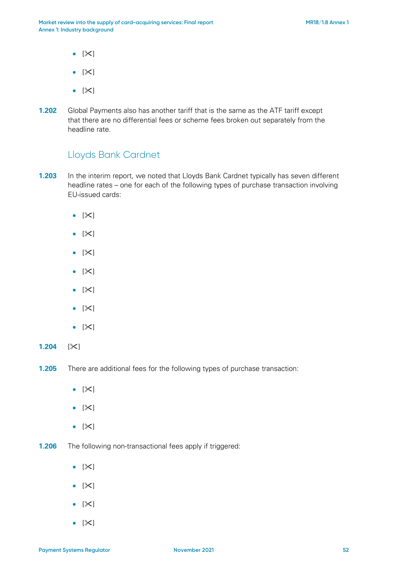- $[\mathbb{X}]$
- $[\mathbb{X}]$
- $[\mathbb{X}]$
- **1.202** Global Payments also has another tariff that is the same as the ATF tariff except that there are no differential fees or scheme fees broken out separately from the headline rate.

# Lloyds Bank Cardnet

- **1.203** In the interim report, we noted that Lloyds Bank Cardnet typically has seven different headline rates – one for each of the following types of purchase transaction involving EU-issued cards:
	- $|\mathsf{X}|$
	- $[\mathbb{X}]$
	- $|\mathsf{X}|$
	- $|\mathsf{X}|$
	- $|\mathsf{X}|$
	- $[\mathbb{X}]$
	- $[\mathbb{X}]$
- **1.204**  $|\times|$
- **1.205** There are additional fees for the following types of purchase transaction:
	- $|\mathsf{X}|$
	- $[\mathbb{X}]$
	- $|\mathsf{X}|$
- **1.206** The following non-transactional fees apply if triggered:
	- $[\mathbb{X}]$
	- $[\mathbb{X}]$
	- $[\mathbb{X}]$
	- $[\mathbb{X}]$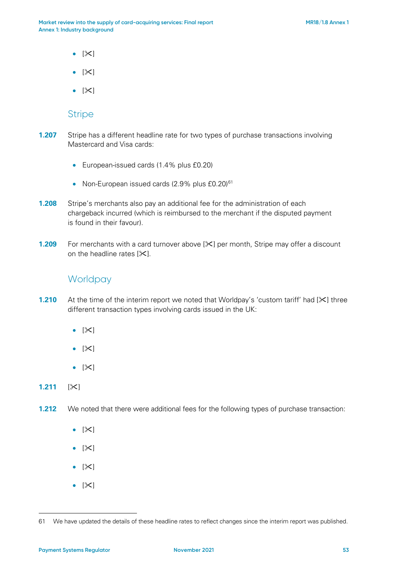- $[\mathbb{X}]$
- $\bullet$  [ $\times$ ]
- $|\mathsf{X}|$

#### **Stripe**

- **1.207** Stripe has a different headline rate for two types of purchase transactions involving Mastercard and Visa cards:
	- European-issued cards (1.4% plus £0.20)
	- Non-European issued cards  $(2.9\%$  plus £0.20)<sup>[61](#page-52-0)</sup>
- **1.208** Stripe's merchants also pay an additional fee for the administration of each chargeback incurred (which is reimbursed to the merchant if the disputed payment is found in their favour).
- **1.209** For merchants with a card turnover above [ $\times$ ] per month, Stripe may offer a discount on the headline rates  $[\times]$ .

# **Worldpay**

- **1.210** At the time of the interim report we noted that Worldpay's 'custom tariff' had  $[\times]$  three different transaction types involving cards issued in the UK:
	- $[\mathbb{X}]$
	- $|\mathsf{X}|$
	- $[\mathbb{X}]$
- **1.211**  $|\times|$
- **1.212** We noted that there were additional fees for the following types of purchase transaction:
	- $[\mathbb{X}]$
	- $[\mathbb{X}]$
	- $|\mathsf{X}|$
	- $\bullet$  [ $\times$ ]

<span id="page-52-0"></span><sup>61</sup> We have updated the details of these headline rates to reflect changes since the interim report was published.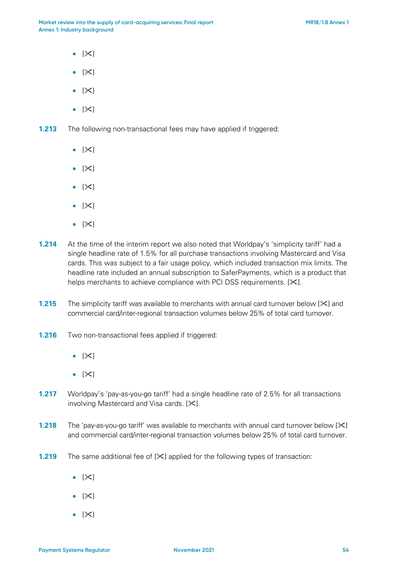- $|\mathsf{X}|$
- $\bullet$  [ $\times$ ]
- $[\mathbb{X}]$
- $\bullet$  [ $\times$ ]

**1.213** The following non-transactional fees may have applied if triggered:

- $|\mathsf{X}|$
- $\bullet$  [ $\times$ ]
- $[\mathbb{X}]$
- $|\mathsf{X}|$
- $\bullet$  [ $\ge$ ]
- <span id="page-53-0"></span>**1.214** At the time of the interim report we also noted that Worldpay's 'simplicity tariff' had a single headline rate of 1.5% for all purchase transactions involving Mastercard and Visa cards. This was subject to a fair usage policy, which included transaction mix limits. The headline rate included an annual subscription to SaferPayments, which is a product that helps merchants to achieve compliance with PCI DSS requirements.  $[\mathcal{K}]$ .
- **1.215** The simplicity tariff was available to merchants with annual card turnover below [ $\times$ ] and commercial card/inter-regional transaction volumes below 25% of total card turnover.
- **1.216** Two non-transactional fees applied if triggered:
	- $[\mathbb{X}]$
	- $[\mathbb{X}]$
- **1.217** Worldpay's 'pay-as-you-go tariff' had a single headline rate of 2.5% for all transactions involving Mastercard and Visa cards.  $[\times]$ .
- **1.218** The 'pay-as-you-go tariff' was available to merchants with annual card turnover below [ $\angle$ ] and commercial card/inter-regional transaction volumes below 25% of total card turnover.
- **1.219** The same additional fee of [ $\angle$ ] applied for the following types of transaction:
	- $[\mathbb{X}]$
	- $\bullet$  [ $\times$ ]
	- $\bullet$  [ $\times$ ]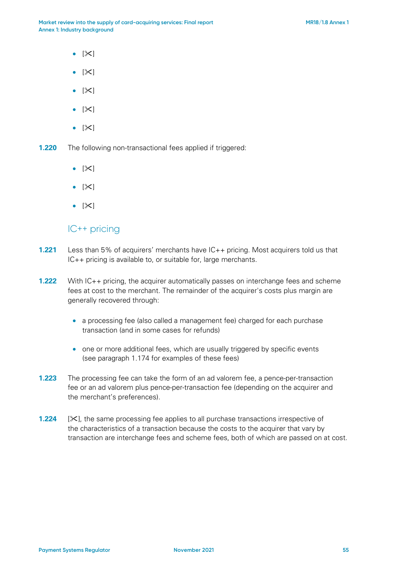- $|\mathsf{X}|$
- $\bullet$  [ $\times$ ]
- $\bullet$  [ $\times$ ]
- $\bullet$  [ $\times$ ]
- $\bullet$  [ $\times$ ]

**1.220** The following non-transactional fees applied if triggered:

- $\bullet$  [ $\times$ ]
- $[\mathbb{X}]$
- $|\mathsf{X}|$

#### IC++ pricing

- **1.221** Less than 5% of acquirers' merchants have IC++ pricing. Most acquirers told us that IC++ pricing is available to, or suitable for, large merchants.
- **1.222** With IC++ pricing, the acquirer automatically passes on interchange fees and scheme fees at cost to the merchant. The remainder of the acquirer's costs plus margin are generally recovered through:
	- a processing fee (also called a management fee) charged for each purchase transaction (and in some cases for refunds)
	- one or more additional fees, which are usually triggered by specific events (see paragraph [1.174](#page-45-0) for examples of these fees)
- **1.223** The processing fee can take the form of an ad valorem fee, a pence-per-transaction fee or an ad valorem plus pence-per-transaction fee (depending on the acquirer and the merchant's preferences).
- **1.224** [ $\times$ ], the same processing fee applies to all purchase transactions irrespective of the characteristics of a transaction because the costs to the acquirer that vary by transaction are interchange fees and scheme fees, both of which are passed on at cost.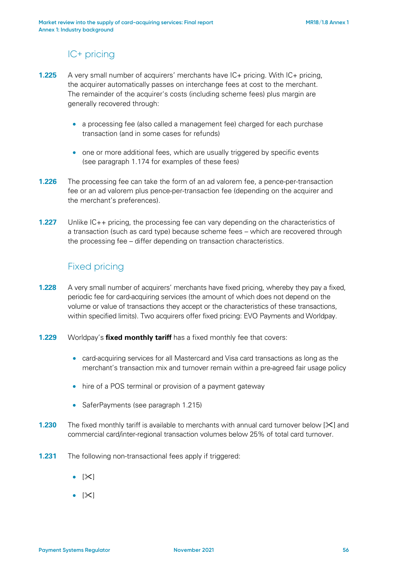# IC+ pricing

- **1.225** A very small number of acquirers' merchants have IC+ pricing. With IC+ pricing, the acquirer automatically passes on interchange fees at cost to the merchant. The remainder of the acquirer's costs (including scheme fees) plus margin are generally recovered through:
	- a processing fee (also called a management fee) charged for each purchase transaction (and in some cases for refunds)
	- one or more additional fees, which are usually triggered by specific events (see paragraph [1.174](#page-45-0) for examples of these fees)
- **1.226** The processing fee can take the form of an ad valorem fee, a pence-per-transaction fee or an ad valorem plus pence-per-transaction fee (depending on the acquirer and the merchant's preferences).
- **1.227** Unlike IC++ pricing, the processing fee can vary depending on the characteristics of a transaction (such as card type) because scheme fees – which are recovered through the processing fee – differ depending on transaction characteristics.

# Fixed pricing

- **1.228** A very small number of acquirers' merchants have fixed pricing, whereby they pay a fixed, periodic fee for card-acquiring services (the amount of which does not depend on the volume or value of transactions they accept or the characteristics of these transactions, within specified limits). Two acquirers offer fixed pricing: EVO Payments and Worldpay.
- **1.229** Worldpay's **fixed monthly tariff** has a fixed monthly fee that covers:
	- card-acquiring services for all Mastercard and Visa card transactions as long as the merchant's transaction mix and turnover remain within a pre-agreed fair usage policy
	- hire of a POS terminal or provision of a payment gateway
	- SaferPayments (see paragraph [1.215\)](#page-53-0)
- **1.230** The fixed monthly tariff is available to merchants with annual card turnover below [ $\times$ ] and commercial card/inter-regional transaction volumes below 25% of total card turnover.
- **1.231** The following non-transactional fees apply if triggered:
	- $\bullet$  [ $\ge$ ]
	- $\bullet$  [ $\times$ ]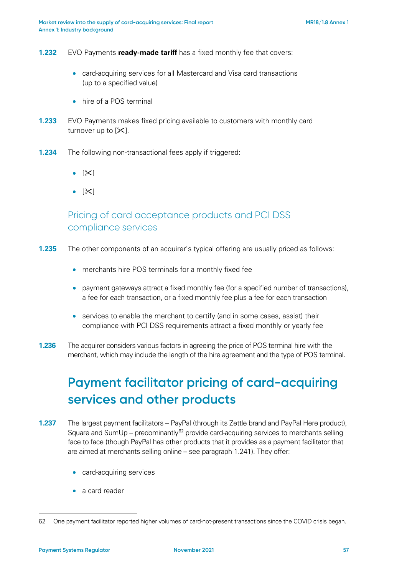#### **1.232** EVO Payments **ready-made tariff** has a fixed monthly fee that covers:

- card-acquiring services for all Mastercard and Visa card transactions (up to a specified value)
- hire of a POS terminal
- **1.233** EVO Payments makes fixed pricing available to customers with monthly card turnover up to  $[\times]$ .
- **1.234** The following non-transactional fees apply if triggered:
	- $\bullet$  [ $\times$ ]
	- $[\times]$

# Pricing of card acceptance products and PCI DSS compliance services

- **1.235** The other components of an acquirer's typical offering are usually priced as follows:
	- merchants hire POS terminals for a monthly fixed fee
	- payment gateways attract a fixed monthly fee (for a specified number of transactions), a fee for each transaction, or a fixed monthly fee plus a fee for each transaction
	- services to enable the merchant to certify (and in some cases, assist) their compliance with PCI DSS requirements attract a fixed monthly or yearly fee
- **1.236** The acquirer considers various factors in agreeing the price of POS terminal hire with the merchant, which may include the length of the hire agreement and the type of POS terminal.

# **Payment facilitator pricing of card-acquiring services and other products**

- **1.237** The largest payment facilitators PayPal (through its Zettle brand and PayPal Here product), Square and SumUp – predominantly<sup>62</sup> provide card-acquiring services to merchants selling face to face (though PayPal has other products that it provides as a payment facilitator that are aimed at merchants selling online – see paragraph [1.241\)](#page-57-0). They offer:
	- card-acquiring services
	- a card reader

<span id="page-56-0"></span><sup>62</sup> One payment facilitator reported higher volumes of card-not-present transactions since the COVID crisis began.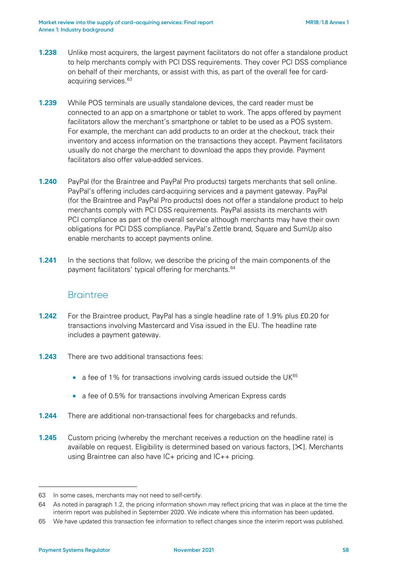- **1.238** Unlike most acquirers, the largest payment facilitators do not offer a standalone product to help merchants comply with PCI DSS requirements. They cover PCI DSS compliance on behalf of their merchants, or assist with this, as part of the overall fee for cardacquiring services. [63](#page-57-1)
- **1.239** While POS terminals are usually standalone devices, the card reader must be connected to an app on a smartphone or tablet to work. The apps offered by payment facilitators allow the merchant's smartphone or tablet to be used as a POS system. For example, the merchant can add products to an order at the checkout, track their inventory and access information on the transactions they accept. Payment facilitators usually do not charge the merchant to download the apps they provide. Payment facilitators also offer value-added services.
- <span id="page-57-0"></span>**1.240** PayPal (for the Braintree and PayPal Pro products) targets merchants that sell online. PayPal's offering includes card-acquiring services and a payment gateway. PayPal (for the Braintree and PayPal Pro products) does not offer a standalone product to help merchants comply with PCI DSS requirements. PayPal assists its merchants with PCI compliance as part of the overall service although merchants may have their own obligations for PCI DSS compliance. PayPal's Zettle brand, Square and SumUp also enable merchants to accept payments online.
- **1.241** In the sections that follow, we describe the pricing of the main components of the payment facilitators' typical offering for merchants.<sup>[64](#page-57-2)</sup>

#### **Braintree**

- **1.242** For the Braintree product, PayPal has a single headline rate of 1.9% plus £0.20 for transactions involving Mastercard and Visa issued in the EU. The headline rate includes a payment gateway.
- **1.243** There are two additional transactions fees:
	- a fee of 1% for transactions involving cards issued outside the  $UK^{65}$  $UK^{65}$  $UK^{65}$
	- a fee of 0.5% for transactions involving American Express cards
- **1.244** There are additional non-transactional fees for chargebacks and refunds.
- **1.245** Custom pricing (whereby the merchant receives a reduction on the headline rate) is available on request. Eligibility is determined based on various factors,  $[\mathbb{X}]$ . Merchants using Braintree can also have IC+ pricing and IC++ pricing.

<span id="page-57-1"></span><sup>63</sup> In some cases, merchants may not need to self-certify.

<span id="page-57-2"></span><sup>64</sup> As noted in paragraph 1.2, the pricing information shown may reflect pricing that was in place at the time the interim report was published in September 2020. We indicate where this information has been updated.

<span id="page-57-3"></span><sup>65</sup> We have updated this transaction fee information to reflect changes since the interim report was published.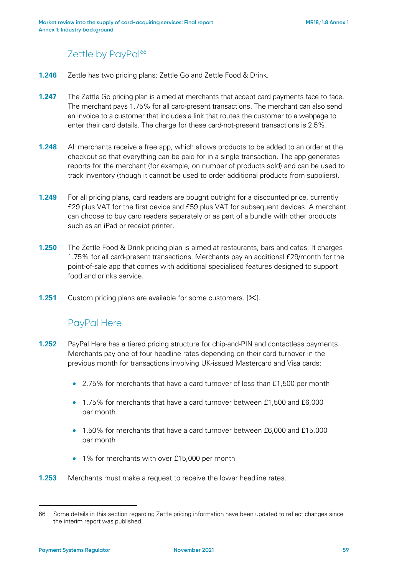# Zettle by PayPal<sup>[66](#page-58-0)</sup>

- **1.246** Zettle has two pricing plans: Zettle Go and Zettle Food & Drink.
- **1.247** The Zettle Go pricing plan is aimed at merchants that accept card payments face to face. The merchant pays 1.75% for all card-present transactions. The merchant can also send an invoice to a customer that includes a link that routes the customer to a webpage to enter their card details. The charge for these card-not-present transactions is 2.5%.
- **1.248** All merchants receive a free app, which allows products to be added to an order at the checkout so that everything can be paid for in a single transaction. The app generates reports for the merchant (for example, on number of products sold) and can be used to track inventory (though it cannot be used to order additional products from suppliers).
- **1.249** For all pricing plans, card readers are bought outright for a discounted price, currently £29 plus VAT for the first device and £59 plus VAT for subsequent devices. A merchant can choose to buy card readers separately or as part of a bundle with other products such as an iPad or receipt printer.
- **1.250** The Zettle Food & Drink pricing plan is aimed at restaurants, bars and cafes. It charges 1.75% for all card-present transactions. Merchants pay an additional £29/month for the point-of-sale app that comes with additional specialised features designed to support food and drinks service.
- **1.251** Custom pricing plans are available for some customers.  $[\mathbb{X}]$ .

# PayPal Here

- **1.252** PayPal Here has a tiered pricing structure for chip-and-PIN and contactless payments. Merchants pay one of four headline rates depending on their card turnover in the previous month for transactions involving UK-issued Mastercard and Visa cards:
	- 2.75% for merchants that have a card turnover of less than £1,500 per month
	- 1.75% for merchants that have a card turnover between £1,500 and £6,000 per month
	- 1.50% for merchants that have a card turnover between £6,000 and £15,000 per month
	- 1% for merchants with over £15,000 per month
- **1.253** Merchants must make a request to receive the lower headline rates.

<span id="page-58-0"></span><sup>66</sup> Some details in this section regarding Zettle pricing information have been updated to reflect changes since the interim report was published.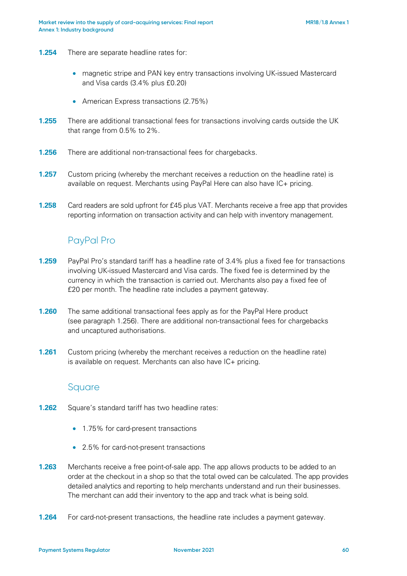- **1.254** There are separate headline rates for:
	- magnetic stripe and PAN key entry transactions involving UK-issued Mastercard and Visa cards (3.4% plus £0.20)
	- American Express transactions (2.75%)
- <span id="page-59-0"></span>**1.255** There are additional transactional fees for transactions involving cards outside the UK that range from 0.5% to 2%.
- **1.256** There are additional non-transactional fees for chargebacks.
- **1.257** Custom pricing (whereby the merchant receives a reduction on the headline rate) is available on request. Merchants using PayPal Here can also have IC+ pricing.
- **1.258** Card readers are sold upfront for £45 plus VAT. Merchants receive a free app that provides reporting information on transaction activity and can help with inventory management.

# PayPal Pro

- **1.259** PayPal Pro's standard tariff has a headline rate of 3.4% plus a fixed fee for transactions involving UK-issued Mastercard and Visa cards. The fixed fee is determined by the currency in which the transaction is carried out. Merchants also pay a fixed fee of £20 per month. The headline rate includes a payment gateway.
- **1.260** The same additional transactional fees apply as for the PayPal Here product (see paragraph [1.256\)](#page-59-0). There are additional non-transactional fees for chargebacks and uncaptured authorisations.
- **1.261** Custom pricing (whereby the merchant receives a reduction on the headline rate) is available on request. Merchants can also have IC+ pricing.

#### **Square**

- **1.262** Square's standard tariff has two headline rates:
	- 1.75% for card-present transactions
	- 2.5% for card-not-present transactions
- **1.263** Merchants receive a free point-of-sale app. The app allows products to be added to an order at the checkout in a shop so that the total owed can be calculated. The app provides detailed analytics and reporting to help merchants understand and run their businesses. The merchant can add their inventory to the app and track what is being sold.
- **1.264** For card-not-present transactions, the headline rate includes a payment gateway.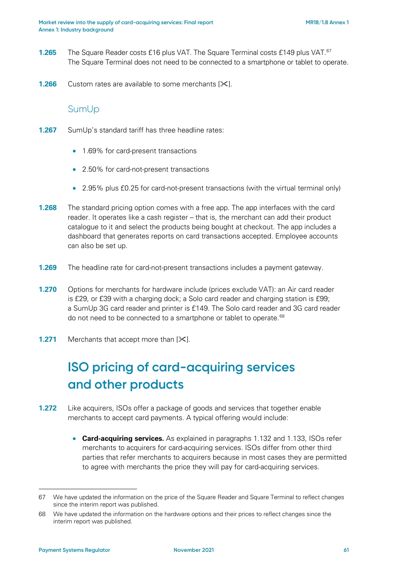- **1.265** The Square Reader costs £16 plus VAT. The Square Terminal costs £149 plus VAT.<sup>[67](#page-60-0)</sup> The Square Terminal does not need to be connected to a smartphone or tablet to operate.
- **1.266** Custom rates are available to some merchants  $[\times]$ .

#### SumUp

- **1.267** SumUp's standard tariff has three headline rates:
	- 1.69% for card-present transactions
	- 2.50% for card-not-present transactions
	- 2.95% plus £0.25 for card-not-present transactions (with the virtual terminal only)
- **1.268** The standard pricing option comes with a free app. The app interfaces with the card reader. It operates like a cash register – that is, the merchant can add their product catalogue to it and select the products being bought at checkout. The app includes a dashboard that generates reports on card transactions accepted. Employee accounts can also be set up.
- **1.269** The headline rate for card-not-present transactions includes a payment gateway.
- **1.270** Options for merchants for hardware include (prices exclude VAT): an Air card reader is £29, or £39 with a charging dock; a Solo card reader and charging station is £99; a SumUp 3G card reader and printer is £149. The Solo card reader and 3G card reader do not need to be connected to a smartphone or tablet to operate.<sup>[68](#page-60-1)</sup>
- **1.271** Merchants that accept more than  $[\times]$ .

# **ISO pricing of card-acquiring services and other products**

- **1.272** Like acquirers, ISOs offer a package of goods and services that together enable merchants to accept card payments. A typical offering would include:
	- **Card-acquiring services.** As explained in paragraphs [1.132](#page-36-2) and [1.133,](#page-36-3) ISOs refer merchants to acquirers for card-acquiring services. ISOs differ from other third parties that refer merchants to acquirers because in most cases they are permitted to agree with merchants the price they will pay for card-acquiring services.

<span id="page-60-0"></span><sup>67</sup> We have updated the information on the price of the Square Reader and Square Terminal to reflect changes since the interim report was published.

<span id="page-60-1"></span><sup>68</sup> We have updated the information on the hardware options and their prices to reflect changes since the interim report was published.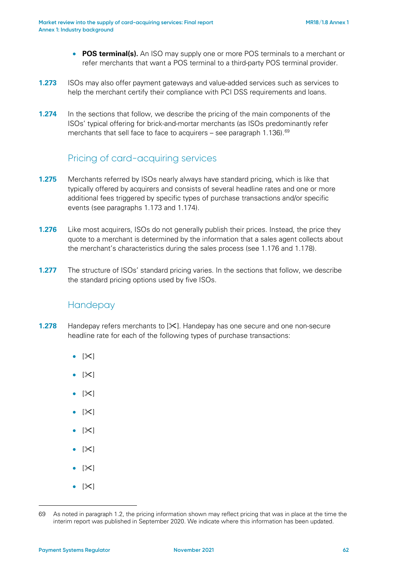- **POS terminal(s).** An ISO may supply one or more POS terminals to a merchant or refer merchants that want a POS terminal to a third-party POS terminal provider.
- **1.273** ISOs may also offer payment gateways and value-added services such as services to help the merchant certify their compliance with PCI DSS requirements and loans.
- **1.274** In the sections that follow, we describe the pricing of the main components of the ISOs' typical offering for brick-and-mortar merchants (as ISOs predominantly refer merchants that sell face to face to acquirers – see paragraph  $1.136$ .  $69$

# Pricing of card-acquiring services

- **1.275** Merchants referred by ISOs nearly always have standard pricing, which is like that typically offered by acquirers and consists of several headline rates and one or more additional fees triggered by specific types of purchase transactions and/or specific events (see paragraphs [1.173](#page-44-3) and [1.174\)](#page-45-0).
- **1.276** Like most acquirers, ISOs do not generally publish their prices. Instead, the price they quote to a merchant is determined by the information that a sales agent collects about the merchant's characteristics during the sales process (see [1.176](#page-45-1) and [1.178\)](#page-46-2).
- **1.277** The structure of ISOs' standard pricing varies. In the sections that follow, we describe the standard pricing options used by five ISOs.

### Handepay

- **1.278** Handepay refers merchants to  $[\times]$ . Handepay has one secure and one non-secure headline rate for each of the following types of purchase transactions:
	- $\bullet$  [ $\times$ ]
	- $\bullet$  [ $\times$ ]
	- $\bullet$  [ $\times$ ]
	- $[\mathbb{X}]$
	- $\bullet$  [ $\times$ ]
	- $\bullet$  [ $\times$ ]
	- $|\mathsf{X}|$
	- $\bullet$  [ $\times$ ]

<span id="page-61-0"></span><sup>69</sup> As noted in paragraph 1.2, the pricing information shown may reflect pricing that was in place at the time the interim report was published in September 2020. We indicate where this information has been updated.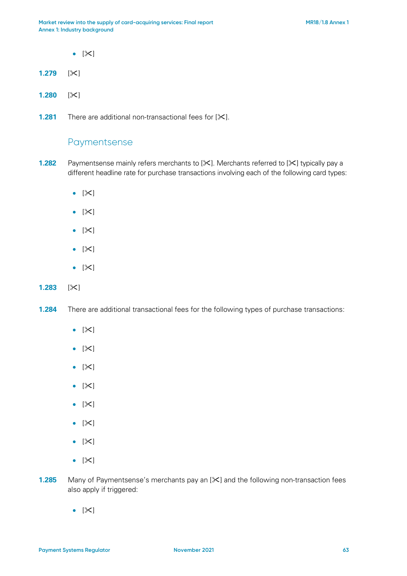- $|\mathsf{X}|$
- **1.279**  $[\times]$
- **1.280**  $|\times|$
- **1.281** There are additional non-transactional fees for [ $\angle$ ].

### Paymentsense

- **1.282** Paymentsense mainly refers merchants to [ $\angle$ ]. Merchants referred to [ $\angle$ ] typically pay a different headline rate for purchase transactions involving each of the following card types:
	- $[\mathbb{X}]$
	- $[\mathbb{X}]$
	- $|\mathsf{X}|$
	- $|\mathsf{X}|$
	- $[\mathbb{X}]$

#### **1.283**  $[\times]$

- **1.284** There are additional transactional fees for the following types of purchase transactions:
	- $[\mathbb{X}]$
	- $[\mathbb{X}]$
	- $[\mathbb{X}]$
	- $\bullet$  [ $\times$ ]
	- $[\mathbb{X}]$
	- $|\mathsf{X}|$
	- $[\mathbb{X}]$
	- $[\mathbb{X}]$
- **1.285** Many of Paymentsense's merchants pay an [ $\angle$ ] and the following non-transaction fees also apply if triggered:
	- $|\mathsf{X}|$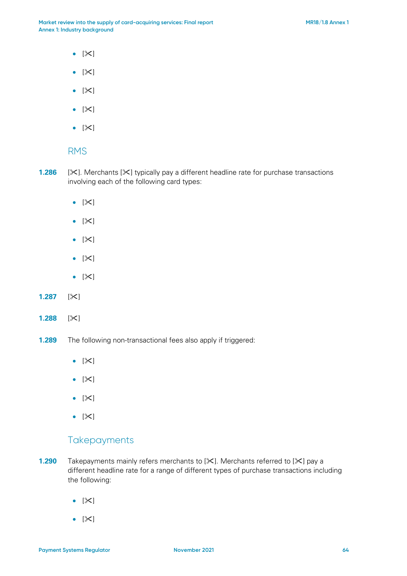- $|\mathsf{X}|$
- $[\mathbb{X}]$
- $[\mathbb{X}]$
- $[\mathbb{X}]$
- $[\mathbb{X}]$

#### RMS

- **1.286**  $[\times]$ . Merchants  $[\times]$  typically pay a different headline rate for purchase transactions involving each of the following card types:
	- $[\mathbb{X}]$
	- $|\mathsf{X}|$
	- $|\mathsf{X}|$
	- $[\mathbb{X}]$
	- $[\mathbb{X}]$
- **1.287**  $|\times|$
- **1.288**  $[\times]$
- **1.289** The following non-transactional fees also apply if triggered:
	- $|\mathsf{X}|$
	- $|\mathsf{X}|$
	- $[\mathbb{X}]$
	- $|\mathsf{X}|$

### **Takepayments**

- **1.290** Takepayments mainly refers merchants to [ $\times$ ]. Merchants referred to [ $\times$ ] pay a different headline rate for a range of different types of purchase transactions including the following:
	- $|\mathsf{X}|$
	- $[\mathbb{X}]$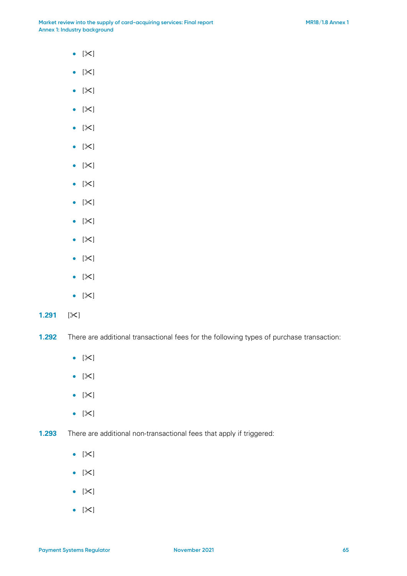- $[\mathbb{X}]$
- $[\mathbb{X}]$
- $[\mathbb{X}]$
- $[\mathbb{X}]$
- $[\mathbb{X}]$
- $[\mathbb{X}]$
- $[\mathbb{X}]$
- $[\times]$
- $[\mathbb{X}]$
- $[\mathbb{X}]$
- $|\mathsf{X}|$
- $[\mathbb{X}]$
- $[\mathbb{X}]$
- $[\mathbb{X}]$
- **1.291**  $[\times]$

**1.292** There are additional transactional fees for the following types of purchase transaction:

- $[\mathbb{X}]$
- $[\mathbb{X}]$
- $[\mathbb{X}]$
- $[\mathbb{X}]$

**1.293** There are additional non-transactional fees that apply if triggered:

- $[\mathbb{X}]$
- $[\mathbb{X}]$
- $|\mathsf{X}|$
- $[\mathbb{X}]$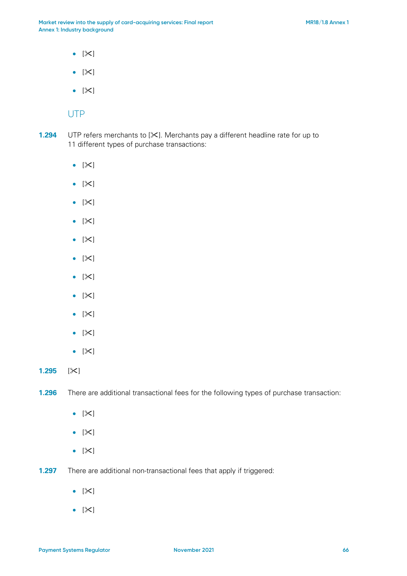- $[\mathbb{X}]$
- $[\mathbb{X}]$
- $[\mathbb{X}]$

#### UTP

- **1.294** UTP refers merchants to [ $\times$ ]. Merchants pay a different headline rate for up to 11 different types of purchase transactions:
	- $[\mathbb{X}]$
	- $|\mathsf{X}|$
	- $[\mathbb{X}]$
	- $|\mathsf{X}|$
	- $|\mathsf{X}|$
	- $[\mathbb{X}]$
	- $[\mathbb{X}]$
	- $[\mathbb{X}]$
	- $[\mathbb{X}]$
	- $[\mathbb{X}]$
	- $[\mathbb{X}]$

**1.295**  $|\times|$ 

**1.296** There are additional transactional fees for the following types of purchase transaction:

- $[\mathbb{X}]$
- $[\mathbb{X}]$
- $[\mathbb{X}]$
- **1.297** There are additional non-transactional fees that apply if triggered:
	- $[\mathbb{X}]$
	- $[\mathbb{X}]$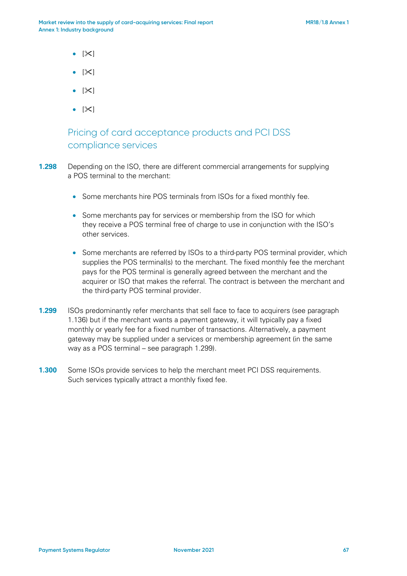- $|\mathsf{X}|$
- $\bullet$  [ $\times$ ]
- $|\mathsf{X}|$
- $\bullet$  [ $\times$ ]

# Pricing of card acceptance products and PCI DSS compliance services

- <span id="page-66-0"></span>**1.298** Depending on the ISO, there are different commercial arrangements for supplying a POS terminal to the merchant:
	- Some merchants hire POS terminals from ISOs for a fixed monthly fee.
	- Some merchants pay for services or membership from the ISO for which they receive a POS terminal free of charge to use in conjunction with the ISO's other services.
	- Some merchants are referred by ISOs to a third-party POS terminal provider, which supplies the POS terminal(s) to the merchant. The fixed monthly fee the merchant pays for the POS terminal is generally agreed between the merchant and the acquirer or ISO that makes the referral. The contract is between the merchant and the third-party POS terminal provider.
- **1.299** ISOs predominantly refer merchants that sell face to face to acquirers (see paragraph [1.136\)](#page-37-1) but if the merchant wants a payment gateway, it will typically pay a fixed monthly or yearly fee for a fixed number of transactions. Alternatively, a payment gateway may be supplied under a services or membership agreement (in the same way as a POS terminal – see paragraph [1.299\)](#page-66-0).
- **1.300** Some ISOs provide services to help the merchant meet PCI DSS requirements. Such services typically attract a monthly fixed fee.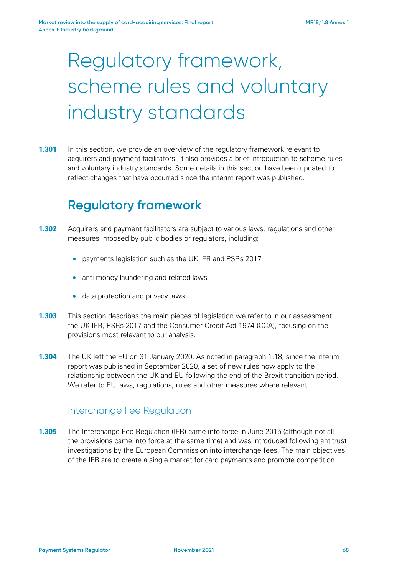# Regulatory framework, scheme rules and voluntary industry standards

**1.301** In this section, we provide an overview of the regulatory framework relevant to acquirers and payment facilitators. It also provides a brief introduction to scheme rules and voluntary industry standards. Some details in this section have been updated to reflect changes that have occurred since the interim report was published.

# **Regulatory framework**

- **1.302** Acquirers and payment facilitators are subject to various laws, regulations and other measures imposed by public bodies or regulators, including:
	- payments legislation such as the UK IFR and PSRs 2017
	- anti-money laundering and related laws
	- data protection and privacy laws
- **1.303** This section describes the main pieces of legislation we refer to in our assessment: the UK IFR, PSRs 2017 and the Consumer Credit Act 1974 (CCA), focusing on the provisions most relevant to our analysis.
- **1.304** The UK left the EU on 31 January 2020. As noted in paragraph [1.18,](#page-6-0) since the interim report was published in September 2020, a set of new rules now apply to the relationship between the UK and EU following the end of the Brexit transition period. We refer to EU laws, regulations, rules and other measures where relevant.

#### Interchange Fee Regulation

**1.305** The Interchange Fee Regulation (IFR) came into force in June 2015 (although not all the provisions came into force at the same time) and was introduced following antitrust investigations by the European Commission into interchange fees. The main objectives of the IFR are to create a single market for card payments and promote competition.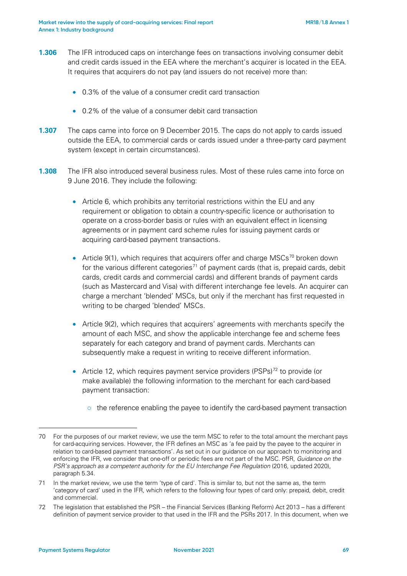- **1.306** The IFR introduced caps on interchange fees on transactions involving consumer debit and credit cards issued in the EEA where the merchant's acquirer is located in the EEA. It requires that acquirers do not pay (and issuers do not receive) more than:
	- 0.3% of the value of a consumer credit card transaction
	- 0.2% of the value of a consumer debit card transaction
- **1.307** The caps came into force on 9 December 2015. The caps do not apply to cards issued outside the EEA, to commercial cards or cards issued under a three-party card payment system (except in certain circumstances).
- <span id="page-68-3"></span>**1.308** The IFR also introduced several business rules. Most of these rules came into force on 9 June 2016. They include the following:
	- Article 6, which prohibits any territorial restrictions within the EU and any requirement or obligation to obtain a country-specific licence or authorisation to operate on a cross-border basis or rules with an equivalent effect in licensing agreements or in payment card scheme rules for issuing payment cards or acquiring card-based payment transactions.
	- Article 9(1), which requires that acquirers offer and charge MSCs<sup>[70](#page-68-0)</sup> broken down for the various different categories<sup>[71](#page-68-1)</sup> of payment cards (that is, prepaid cards, debit cards, credit cards and commercial cards) and different brands of payment cards (such as Mastercard and Visa) with different interchange fee levels. An acquirer can charge a merchant 'blended' MSCs, but only if the merchant has first requested in writing to be charged 'blended' MSCs.
	- Article 9(2), which requires that acquirers' agreements with merchants specify the amount of each MSC, and show the applicable interchange fee and scheme fees separately for each category and brand of payment cards. Merchants can subsequently make a request in writing to receive different information.
	- Article 12, which requires payment service providers (PSPs)<sup>[72](#page-68-2)</sup> to provide (or make available) the following information to the merchant for each card-based payment transaction:
		- $\circ$  the reference enabling the payee to identify the card-based payment transaction

<span id="page-68-0"></span><sup>70</sup> For the purposes of our market review, we use the term MSC to refer to the total amount the merchant pays for card-acquiring services. However, the IFR defines an MSC as 'a fee paid by the payee to the acquirer in relation to card-based payment transactions'. As set out in our guidance on our approach to monitoring and enforcing the IFR, we consider that one-off or periodic fees are not part of the MSC. PSR, *Guidance on the PSR's approach as a competent authority for the EU Interchange Fee Regulation* (2016, updated 2020), paragraph 5.34.

<span id="page-68-1"></span><sup>71</sup> In the market review, we use the term 'type of card'. This is similar to, but not the same as, the term 'category of card' used in the IFR, which refers to the following four types of card only: prepaid, debit, credit and commercial.

<span id="page-68-2"></span><sup>72</sup> The legislation that established the PSR – the Financial Services (Banking Reform) Act 2013 – has a different definition of payment service provider to that used in the IFR and the PSRs 2017. In this document, when we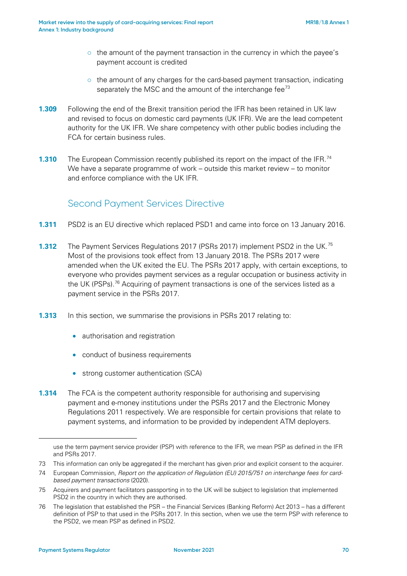- $\circ$  the amount of the payment transaction in the currency in which the payee's payment account is credited
- $\circ$  the amount of any charges for the card-based payment transaction, indicating separately the MSC and the amount of the interchange fee $^{73}$  $^{73}$  $^{73}$
- **1.309** Following the end of the Brexit transition period the IFR has been retained in UK law and revised to focus on domestic card payments (UK IFR). We are the lead competent authority for the UK IFR. We share competency with other public bodies including the FCA for certain business rules.
- **1.310** The European Commission recently published its report on the impact of the IFR.<sup>[74](#page-69-1)</sup> We have a separate programme of work – outside this market review – to monitor and enforce compliance with the UK IFR.

# Second Payment Services Directive

- **1.311** PSD2 is an EU directive which replaced PSD1 and came into force on 13 January 2016.
- **1.312** The Payment Services Regulations 2017 (PSRs 2017) implement PSD2 in the UK.<sup>[75](#page-69-2)</sup> Most of the provisions took effect from 13 January 2018. The PSRs 2017 were amended when the UK exited the EU. The PSRs 2017 apply, with certain exceptions, to everyone who provides payment services as a regular occupation or business activity in the UK (PSPs).<sup>[76](#page-69-3)</sup> Acquiring of payment transactions is one of the services listed as a payment service in the PSRs 2017.
- **1.313** In this section, we summarise the provisions in PSRs 2017 relating to:
	- authorisation and registration
	- conduct of business requirements
	- strong customer authentication (SCA)
- **1.314** The FCA is the competent authority responsible for authorising and supervising payment and e-money institutions under the PSRs 2017 and the Electronic Money Regulations 2011 respectively. We are responsible for certain provisions that relate to payment systems, and information to be provided by independent ATM deployers.

<span id="page-69-0"></span>73 This information can only be aggregated if the merchant has given prior and explicit consent to the acquirer.

use the term payment service provider (PSP) with reference to the IFR, we mean PSP as defined in the IFR and PSRs 2017.

<span id="page-69-1"></span><sup>74</sup> European Commission, *Report on the application of Regulation (EU) 2015/751 on interchange fees for cardbased payment transactions* (2020).

<span id="page-69-2"></span><sup>75</sup> Acquirers and payment facilitators passporting in to the UK will be subject to legislation that implemented PSD2 in the country in which they are authorised.

<span id="page-69-3"></span><sup>76</sup> The legislation that established the PSR – the Financial Services (Banking Reform) Act 2013 – has a different definition of PSP to that used in the PSRs 2017. In this section, when we use the term PSP with reference to the PSD2, we mean PSP as defined in PSD2.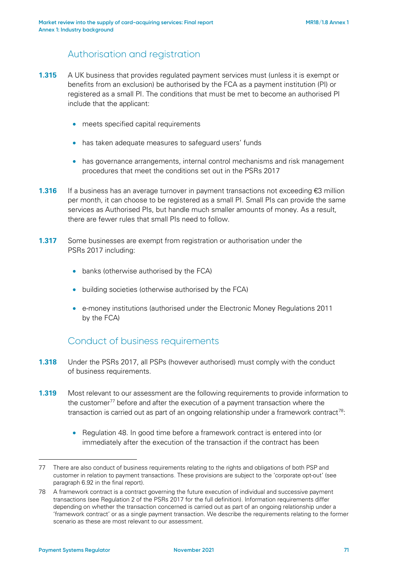# Authorisation and registration

- **1.315** A UK business that provides regulated payment services must (unless it is exempt or benefits from an exclusion) be authorised by the FCA as a payment institution (PI) or registered as a small PI. The conditions that must be met to become an authorised PI include that the applicant:
	- meets specified capital requirements
	- has taken adequate measures to safeguard users' funds
	- has governance arrangements, internal control mechanisms and risk management procedures that meet the conditions set out in the PSRs 2017
- **1.316** If a business has an average turnover in payment transactions not exceeding €3 million per month, it can choose to be registered as a small PI. Small PIs can provide the same services as Authorised PIs, but handle much smaller amounts of money. As a result, there are fewer rules that small PIs need to follow.
- **1.317** Some businesses are exempt from registration or authorisation under the PSRs 2017 including:
	- banks (otherwise authorised by the FCA)
	- building societies (otherwise authorised by the FCA)
	- e-money institutions (authorised under the Electronic Money Regulations 2011 by the FCA)

### Conduct of business requirements

- **1.318** Under the PSRs 2017, all PSPs (however authorised) must comply with the conduct of business requirements.
- **1.319** Most relevant to our assessment are the following requirements to provide information to the customer<sup>[77](#page-70-0)</sup> before and after the execution of a payment transaction where the transaction is carried out as part of an ongoing relationship under a framework contract<sup>78</sup>:
	- Regulation 48. In good time before a framework contract is entered into (or immediately after the execution of the transaction if the contract has been

<span id="page-70-0"></span><sup>77</sup> There are also conduct of business requirements relating to the rights and obligations of both PSP and customer in relation to payment transactions. These provisions are subject to the 'corporate opt-out' (see paragraph 6.92 in the final report).

<span id="page-70-1"></span><sup>78</sup> A framework contract is a contract governing the future execution of individual and successive payment transactions (see Regulation 2 of the PSRs 2017 for the full definition). Information requirements differ depending on whether the transaction concerned is carried out as part of an ongoing relationship under a 'framework contract' or as a single payment transaction. We describe the requirements relating to the former scenario as these are most relevant to our assessment.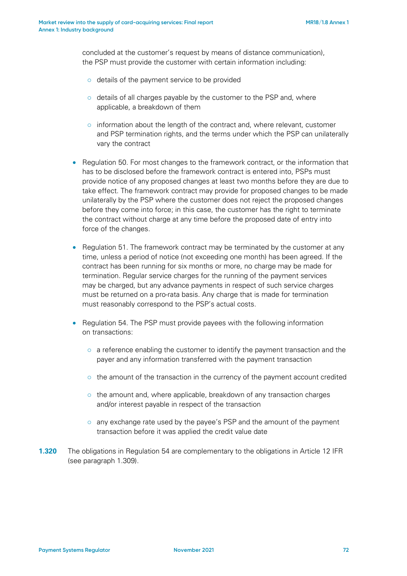concluded at the customer's request by means of distance communication), the PSP must provide the customer with certain information including:

- o details of the payment service to be provided
- o details of all charges payable by the customer to the PSP and, where applicable, a breakdown of them
- $\circ$  information about the length of the contract and, where relevant, customer and PSP termination rights, and the terms under which the PSP can unilaterally vary the contract
- Regulation 50. For most changes to the framework contract, or the information that has to be disclosed before the framework contract is entered into, PSPs must provide notice of any proposed changes at least two months before they are due to take effect. The framework contract may provide for proposed changes to be made unilaterally by the PSP where the customer does not reject the proposed changes before they come into force; in this case, the customer has the right to terminate the contract without charge at any time before the proposed date of entry into force of the changes.
- Regulation 51. The framework contract may be terminated by the customer at any time, unless a period of notice (not exceeding one month) has been agreed. If the contract has been running for six months or more, no charge may be made for termination. Regular service charges for the running of the payment services may be charged, but any advance payments in respect of such service charges must be returned on a pro-rata basis. Any charge that is made for termination must reasonably correspond to the PSP's actual costs.
- Regulation 54. The PSP must provide payees with the following information on transactions:
	- $\circ$  a reference enabling the customer to identify the payment transaction and the payer and any information transferred with the payment transaction
	- o the amount of the transaction in the currency of the payment account credited
	- o the amount and, where applicable, breakdown of any transaction charges and/or interest payable in respect of the transaction
	- o any exchange rate used by the payee's PSP and the amount of the payment transaction before it was applied the credit value date
- **1.320** The obligations in Regulation 54 are complementary to the obligations in Article 12 IFR (see paragraph [1.309\)](#page-68-3).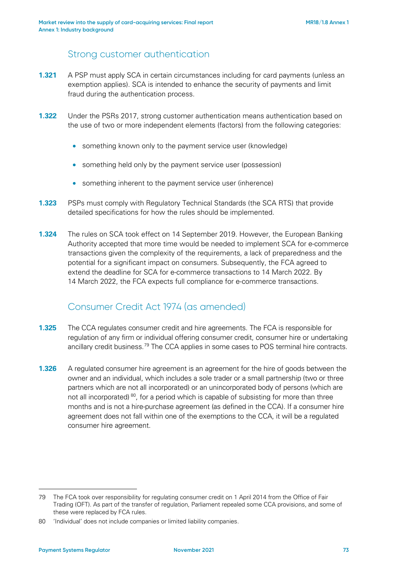#### Strong customer authentication

- **1.321** A PSP must apply SCA in certain circumstances including for card payments (unless an exemption applies). SCA is intended to enhance the security of payments and limit fraud during the authentication process.
- **1.322** Under the PSRs 2017, strong customer authentication means authentication based on the use of two or more independent elements (factors) from the following categories:
	- something known only to the payment service user (knowledge)
	- something held only by the payment service user (possession)
	- something inherent to the payment service user (inherence)
- **1.323** PSPs must comply with Regulatory Technical Standards (the SCA RTS) that provide detailed specifications for how the rules should be implemented.
- **1.324** The rules on SCA took effect on 14 September 2019. However, the European Banking Authority accepted that more time would be needed to implement SCA for e-commerce transactions given the complexity of the requirements, a lack of preparedness and the potential for a significant impact on consumers. Subsequently, the FCA agreed to extend the deadline for SCA for e-commerce transactions to 14 March 2022. By 14 March 2022, the FCA expects full compliance for e-commerce transactions.

### Consumer Credit Act 1974 (as amended)

- **1.325** The CCA regulates consumer credit and hire agreements. The FCA is responsible for regulation of any firm or individual offering consumer credit, consumer hire or undertaking ancillary credit business.<sup>[79](#page-72-0)</sup> The CCA applies in some cases to POS terminal hire contracts.
- **1.326** A regulated consumer hire agreement is an agreement for the hire of goods between the owner and an individual, which includes a sole trader or a small partnership (two or three partners which are not all incorporated) or an unincorporated body of persons (which are not all incorporated)<sup>80</sup>, for a period which is capable of subsisting for more than three months and is not a hire-purchase agreement (as defined in the CCA). If a consumer hire agreement does not fall within one of the exemptions to the CCA, it will be a regulated consumer hire agreement.

<span id="page-72-0"></span><sup>79</sup> The FCA took over responsibility for regulating consumer credit on 1 April 2014 from the Office of Fair Trading (OFT). As part of the transfer of regulation, Parliament repealed some CCA provisions, and some of these were replaced by FCA rules.

<span id="page-72-1"></span><sup>80</sup> 'Individual' does not include companies or limited liability companies.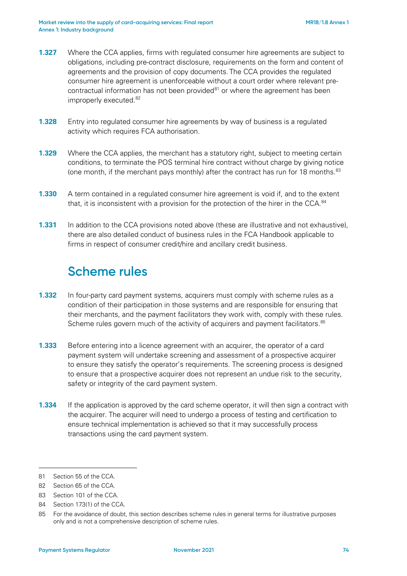- **1.327** Where the CCA applies, firms with regulated consumer hire agreements are subject to obligations, including pre-contract disclosure, requirements on the form and content of agreements and the provision of copy documents. The CCA provides the regulated consumer hire agreement is unenforceable without a court order where relevant precontractual information has not been provided $81$  or where the agreement has been improperly executed.<sup>[82](#page-73-1)</sup>
- **1.328** Entry into regulated consumer hire agreements by way of business is a regulated activity which requires FCA authorisation.
- **1.329** Where the CCA applies, the merchant has a statutory right, subject to meeting certain conditions, to terminate the POS terminal hire contract without charge by giving notice (one month, if the merchant pays monthly) after the contract has run for 18 months. $83$
- **1.330** A term contained in a regulated consumer hire agreement is void if, and to the extent that, it is inconsistent with a provision for the protection of the hirer in the CCA. $84$
- **1.331** In addition to the CCA provisions noted above (these are illustrative and not exhaustive), there are also detailed conduct of business rules in the FCA Handbook applicable to firms in respect of consumer credit/hire and ancillary credit business.

## **Scheme rules**

- **1.332** In four-party card payment systems, acquirers must comply with scheme rules as a condition of their participation in those systems and are responsible for ensuring that their merchants, and the payment facilitators they work with, comply with these rules. Scheme rules govern much of the activity of acquirers and payment facilitators.<sup>[85](#page-73-4)</sup>
- **1.333** Before entering into a licence agreement with an acquirer, the operator of a card payment system will undertake screening and assessment of a prospective acquirer to ensure they satisfy the operator's requirements. The screening process is designed to ensure that a prospective acquirer does not represent an undue risk to the security, safety or integrity of the card payment system.
- **1.334** If the application is approved by the card scheme operator, it will then sign a contract with the acquirer. The acquirer will need to undergo a process of testing and certification to ensure technical implementation is achieved so that it may successfully process transactions using the card payment system.

<span id="page-73-0"></span><sup>81</sup> Section 55 of the CCA.

<span id="page-73-1"></span><sup>82</sup> Section 65 of the CCA.

<span id="page-73-2"></span><sup>83</sup> Section 101 of the CCA.

<span id="page-73-3"></span><sup>84</sup> Section 173(1) of the CCA.

<span id="page-73-4"></span><sup>85</sup> For the avoidance of doubt, this section describes scheme rules in general terms for illustrative purposes only and is not a comprehensive description of scheme rules.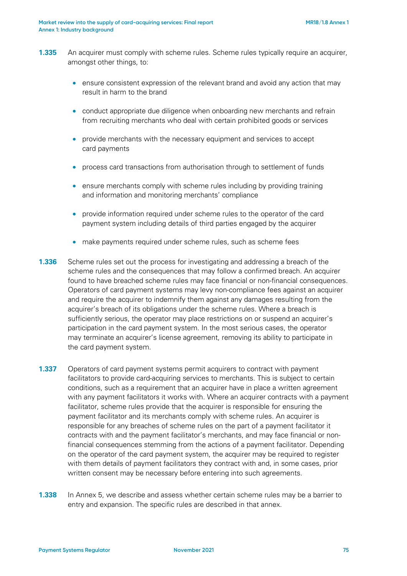- **1.335** An acquirer must comply with scheme rules. Scheme rules typically require an acquirer, amongst other things, to:
	- ensure consistent expression of the relevant brand and avoid any action that may result in harm to the brand
	- conduct appropriate due diligence when onboarding new merchants and refrain from recruiting merchants who deal with certain prohibited goods or services
	- provide merchants with the necessary equipment and services to accept card payments
	- process card transactions from authorisation through to settlement of funds
	- ensure merchants comply with scheme rules including by providing training and information and monitoring merchants' compliance
	- provide information required under scheme rules to the operator of the card payment system including details of third parties engaged by the acquirer
	- make payments required under scheme rules, such as scheme fees
- **1.336** Scheme rules set out the process for investigating and addressing a breach of the scheme rules and the consequences that may follow a confirmed breach. An acquirer found to have breached scheme rules may face financial or non-financial consequences. Operators of card payment systems may levy non-compliance fees against an acquirer and require the acquirer to indemnify them against any damages resulting from the acquirer's breach of its obligations under the scheme rules. Where a breach is sufficiently serious, the operator may place restrictions on or suspend an acquirer's participation in the card payment system. In the most serious cases, the operator may terminate an acquirer's license agreement, removing its ability to participate in the card payment system.
- **1.337** Operators of card payment systems permit acquirers to contract with payment facilitators to provide card-acquiring services to merchants. This is subject to certain conditions, such as a requirement that an acquirer have in place a written agreement with any payment facilitators it works with. Where an acquirer contracts with a payment facilitator, scheme rules provide that the acquirer is responsible for ensuring the payment facilitator and its merchants comply with scheme rules. An acquirer is responsible for any breaches of scheme rules on the part of a payment facilitator it contracts with and the payment facilitator's merchants, and may face financial or nonfinancial consequences stemming from the actions of a payment facilitator. Depending on the operator of the card payment system, the acquirer may be required to register with them details of payment facilitators they contract with and, in some cases, prior written consent may be necessary before entering into such agreements.
- **1.338** In Annex 5, we describe and assess whether certain scheme rules may be a barrier to entry and expansion. The specific rules are described in that annex.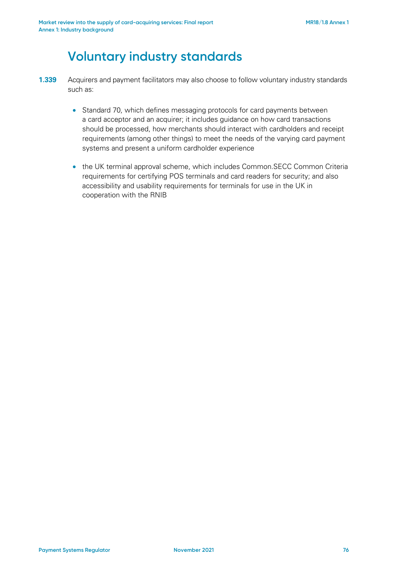## **Voluntary industry standards**

- **1.339** Acquirers and payment facilitators may also choose to follow voluntary industry standards such as:
	- Standard 70, which defines messaging protocols for card payments between a card acceptor and an acquirer; it includes guidance on how card transactions should be processed, how merchants should interact with cardholders and receipt requirements (among other things) to meet the needs of the varying card payment systems and present a uniform cardholder experience
	- the UK terminal approval scheme, which includes Common.SECC Common Criteria requirements for certifying POS terminals and card readers for security; and also accessibility and usability requirements for terminals for use in the UK in cooperation with the RNIB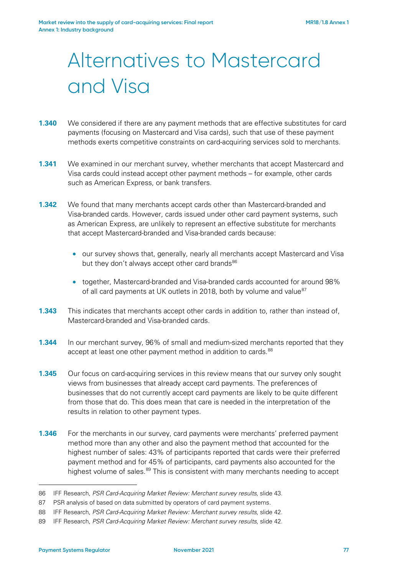# Alternatives to Mastercard and Visa

- **1.340** We considered if there are any payment methods that are effective substitutes for card payments (focusing on Mastercard and Visa cards), such that use of these payment methods exerts competitive constraints on card-acquiring services sold to merchants.
- **1.341** We examined in our merchant survey, whether merchants that accept Mastercard and Visa cards could instead accept other payment methods – for example, other cards such as American Express, or bank transfers.
- **1.342** We found that many merchants accept cards other than Mastercard-branded and Visa-branded cards. However, cards issued under other card payment systems, such as American Express, are unlikely to represent an effective substitute for merchants that accept Mastercard-branded and Visa-branded cards because:
	- our survey shows that, generally, nearly all merchants accept Mastercard and Visa but they don't always accept other card brands<sup>[86](#page-76-0)</sup>
	- together, Mastercard-branded and Visa-branded cards accounted for around 98% of all card payments at UK outlets in 2018, both by volume and value<sup>[87](#page-76-1)</sup>
- **1.343** This indicates that merchants accept other cards in addition to, rather than instead of, Mastercard-branded and Visa-branded cards.
- **1.344** In our merchant survey, 96% of small and medium-sized merchants reported that they accept at least one other payment method in addition to cards.<sup>[88](#page-76-2)</sup>
- **1.345** Our focus on card-acquiring services in this review means that our survey only sought views from businesses that already accept card payments. The preferences of businesses that do not currently accept card payments are likely to be quite different from those that do. This does mean that care is needed in the interpretation of the results in relation to other payment types.
- **1.346** For the merchants in our survey, card payments were merchants' preferred payment method more than any other and also the payment method that accounted for the highest number of sales: 43% of participants reported that cards were their preferred payment method and for 45% of participants, card payments also accounted for the highest volume of sales.<sup>[89](#page-76-3)</sup> This is consistent with many merchants needing to accept

<span id="page-76-0"></span><sup>86</sup> IFF Research, *PSR Card-Acquiring Market Review: Merchant survey results*, slide 43.

<span id="page-76-1"></span><sup>87</sup> PSR analysis of based on data submitted by operators of card payment systems.

<span id="page-76-2"></span><sup>88</sup> IFF Research, *PSR Card-Acquiring Market Review: Merchant survey results*, slide 42.

<span id="page-76-3"></span><sup>89</sup> IFF Research, *PSR Card-Acquiring Market Review: Merchant survey results*, slide 42.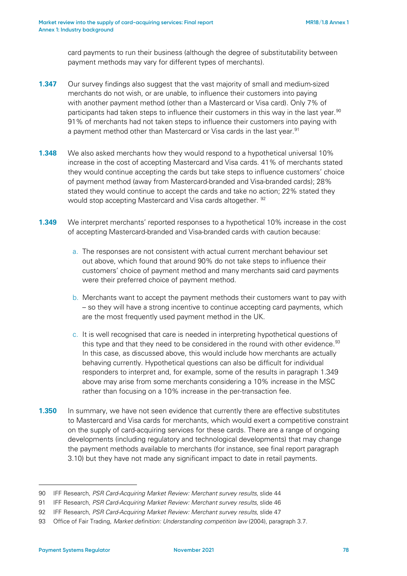card payments to run their business (although the degree of substitutability between payment methods may vary for different types of merchants).

- **1.347** Our survey findings also suggest that the vast majority of small and medium-sized merchants do not wish, or are unable, to influence their customers into paying with another payment method (other than a Mastercard or Visa card). Only 7% of participants had taken steps to influence their customers in this way in the last year.<sup>[90](#page-77-1)</sup> 91% of merchants had not taken steps to influence their customers into paying with a payment method other than Mastercard or Visa cards in the last year.<sup>[91](#page-77-2)</sup>
- <span id="page-77-0"></span>**1.348** We also asked merchants how they would respond to a hypothetical universal 10% increase in the cost of accepting Mastercard and Visa cards. 41% of merchants stated they would continue accepting the cards but take steps to influence customers' choice of payment method (away from Mastercard-branded and Visa-branded cards); 28% stated they would continue to accept the cards and take no action; 22% stated they would stop accepting Mastercard and Visa cards altogether. <sup>92</sup>
- **1.349** We interpret merchants' reported responses to a hypothetical 10% increase in the cost of accepting Mastercard-branded and Visa-branded cards with caution because:
	- a. The responses are not consistent with actual current merchant behaviour set out above, which found that around 90% do not take steps to influence their customers' choice of payment method and many merchants said card payments were their preferred choice of payment method.
	- b. Merchants want to accept the payment methods their customers want to pay with – so they will have a strong incentive to continue accepting card payments, which are the most frequently used payment method in the UK.
	- c. It is well recognised that care is needed in interpreting hypothetical questions of this type and that they need to be considered in the round with other evidence.<sup>93</sup> In this case, as discussed above, this would include how merchants are actually behaving currently. Hypothetical questions can also be difficult for individual responders to interpret and, for example, some of the results in paragraph [1.349](#page-77-0) above may arise from some merchants considering a 10% increase in the MSC rather than focusing on a 10% increase in the per-transaction fee.
- **1.350** In summary, we have not seen evidence that currently there are effective substitutes to Mastercard and Visa cards for merchants, which would exert a competitive constraint on the supply of card-acquiring services for these cards. There are a range of ongoing developments (including regulatory and technological developments) that may change the payment methods available to merchants (for instance, see final report paragraph 3.10) but they have not made any significant impact to date in retail payments.

<span id="page-77-1"></span><sup>90</sup> IFF Research, *PSR Card-Acquiring Market Review: Merchant survey results*, slide 44

<span id="page-77-2"></span><sup>91</sup> IFF Research, *PSR Card-Acquiring Market Review: Merchant survey results*, slide 46

<span id="page-77-3"></span><sup>92</sup> IFF Research, *PSR Card-Acquiring Market Review: Merchant survey results*, slide 47

<span id="page-77-4"></span><sup>93</sup> Office of Fair Trading, *Market definition: Understanding competition law* (2004), paragraph 3.7.